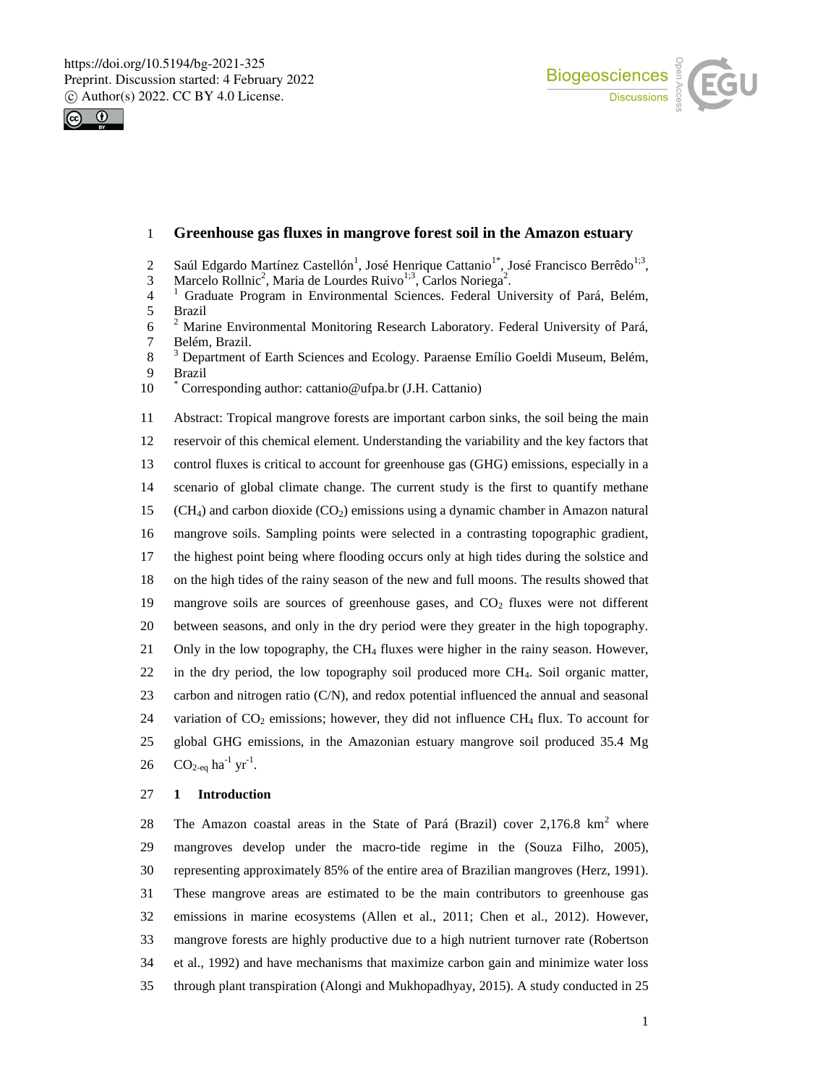



# **Greenhouse gas fluxes in mangrove forest soil in the Amazon estuary**

- 2 Saúl Edgardo Martínez Castellón<sup>1</sup>, José Henrique Cattanio<sup>1\*</sup>, José Francisco Berrêdo<sup>1;3</sup>,
- 3 Marcelo Rollnic<sup>2</sup>, Maria de Lourdes Ruivo<sup>1;3</sup>, Carlos Noriega<sup>2</sup>.
- <sup>1</sup> Graduate Program in Environmental Sciences. Federal University of Pará, Belém,<br>5 Brazil 5 Brazil<br>6  $^2$  Mari
- <sup>2</sup> 6 Marine Environmental Monitoring Research Laboratory. Federal University of Pará, Belém, Brazil.
- <sup>3</sup> 8 Department of Earth Sciences and Ecology. Paraense Emílio Goeldi Museum, Belém, Brazil
- 10 Corresponding author: cattanio@ufpa.br (J.H. Cattanio)

Abstract: Tropical mangrove forests are important carbon sinks, the soil being the main

 reservoir of this chemical element. Understanding the variability and the key factors that control fluxes is critical to account for greenhouse gas (GHG) emissions, especially in a scenario of global climate change. The current study is the first to quantify methane

15 (CH<sub>4</sub>) and carbon dioxide (CO<sub>2</sub>) emissions using a dynamic chamber in Amazon natural

- mangrove soils. Sampling points were selected in a contrasting topographic gradient,
- the highest point being where flooding occurs only at high tides during the solstice and
- on the high tides of the rainy season of the new and full moons. The results showed that
- 19 mangrove soils are sources of greenhouse gases, and  $CO<sub>2</sub>$  fluxes were not different
- between seasons, and only in the dry period were they greater in the high topography.
- Only in the low topography, the CH<sup>4</sup> fluxes were higher in the rainy season. However,
- in the dry period, the low topography soil produced more CH4. Soil organic matter,
- carbon and nitrogen ratio (C/N), and redox potential influenced the annual and seasonal
- 24 variation of  $CO_2$  emissions; however, they did not influence  $CH_4$  flux. To account for global GHG emissions, in the Amazonian estuary mangrove soil produced 35.4 Mg
- 26  $CO_{2-eq}$  ha<sup>-1</sup> yr<sup>-1</sup>.

### **1 Introduction**

28 The Amazon coastal areas in the State of Pará (Brazil) cover  $2.176.8 \text{ km}^2$  where mangroves develop under the macro-tide regime in the (Souza Filho, 2005), representing approximately 85% of the entire area of Brazilian mangroves (Herz, 1991). These mangrove areas are estimated to be the main contributors to greenhouse gas emissions in marine ecosystems (Allen et al., 2011; Chen et al., 2012). However, mangrove forests are highly productive due to a high nutrient turnover rate (Robertson et al., 1992) and have mechanisms that maximize carbon gain and minimize water loss through plant transpiration (Alongi and Mukhopadhyay, 2015). A study conducted in 25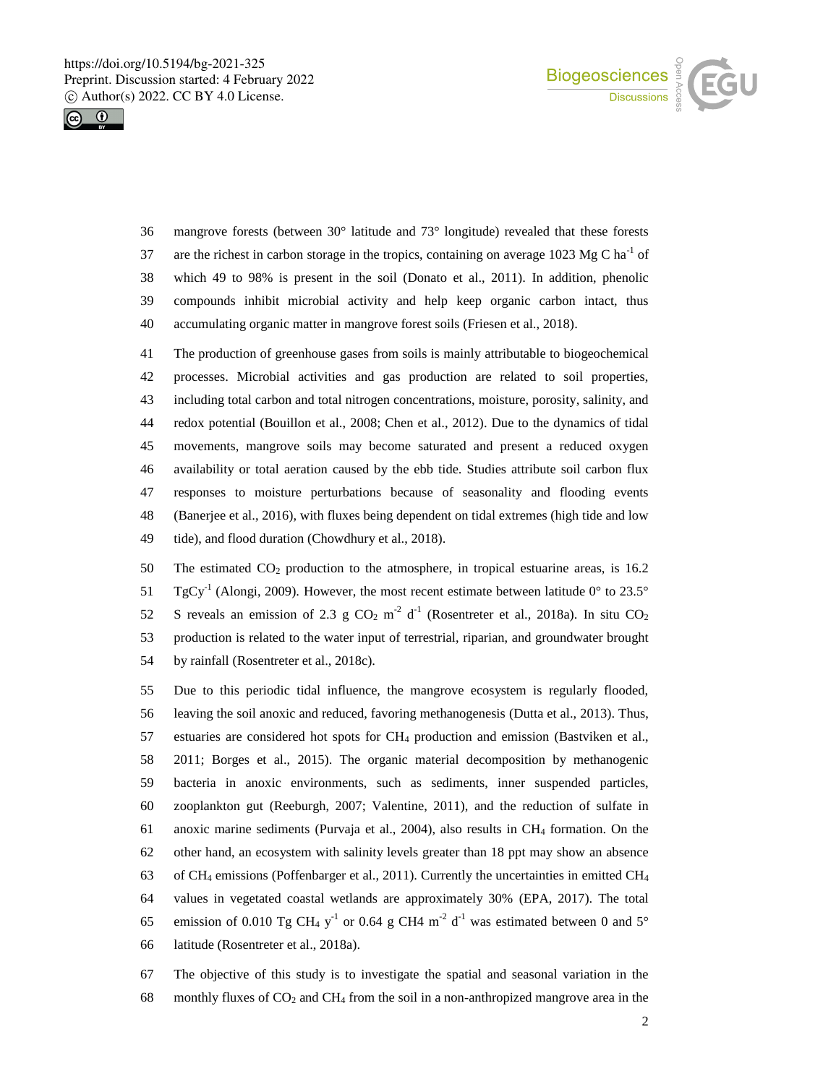



 mangrove forests (between 30° latitude and 73° longitude) revealed that these forests 37 are the richest in carbon storage in the tropics, containing on average 1023 Mg C ha<sup>-1</sup> of which 49 to 98% is present in the soil (Donato et al., 2011). In addition, phenolic compounds inhibit microbial activity and help keep organic carbon intact, thus accumulating organic matter in mangrove forest soils (Friesen et al., 2018).

 The production of greenhouse gases from soils is mainly attributable to biogeochemical processes. Microbial activities and gas production are related to soil properties, including total carbon and total nitrogen concentrations, moisture, porosity, salinity, and redox potential (Bouillon et al., 2008; Chen et al., 2012). Due to the dynamics of tidal movements, mangrove soils may become saturated and present a reduced oxygen availability or total aeration caused by the ebb tide. Studies attribute soil carbon flux responses to moisture perturbations because of seasonality and flooding events (Banerjee et al., 2016), with fluxes being dependent on tidal extremes (high tide and low tide), and flood duration (Chowdhury et al., 2018).

50 The estimated  $CO<sub>2</sub>$  production to the atmosphere, in tropical estuarine areas, is 16.2 51 TgCy<sup>-1</sup> (Alongi, 2009). However, the most recent estimate between latitude 0 $^{\circ}$  to 23.5 $^{\circ}$ 52 S reveals an emission of 2.3 g  $CO_2$  m<sup>-2</sup> d<sup>-1</sup> (Rosentreter et al., 2018a). In situ  $CO_2$  production is related to the water input of terrestrial, riparian, and groundwater brought by rainfall (Rosentreter et al., 2018c).

 Due to this periodic tidal influence, the mangrove ecosystem is regularly flooded, leaving the soil anoxic and reduced, favoring methanogenesis (Dutta et al., 2013). Thus, estuaries are considered hot spots for CH<sup>4</sup> production and emission (Bastviken et al., 2011; Borges et al., 2015). The organic material decomposition by methanogenic bacteria in anoxic environments, such as sediments, inner suspended particles, zooplankton gut (Reeburgh, 2007; Valentine, 2011), and the reduction of sulfate in anoxic marine sediments (Purvaja et al., 2004), also results in CH<sup>4</sup> formation. On the other hand, an ecosystem with salinity levels greater than 18 ppt may show an absence 63 of CH<sub>4</sub> emissions (Poffenbarger et al., 2011). Currently the uncertainties in emitted CH<sub>4</sub> values in vegetated coastal wetlands are approximately 30% (EPA, 2017). The total 65 emission of 0.010 Tg CH<sub>4</sub> y<sup>-1</sup> or 0.64 g CH4 m<sup>-2</sup> d<sup>-1</sup> was estimated between 0 and 5° latitude (Rosentreter et al., 2018a).

 The objective of this study is to investigate the spatial and seasonal variation in the 68 monthly fluxes of  $CO_2$  and  $CH_4$  from the soil in a non-anthropized mangrove area in the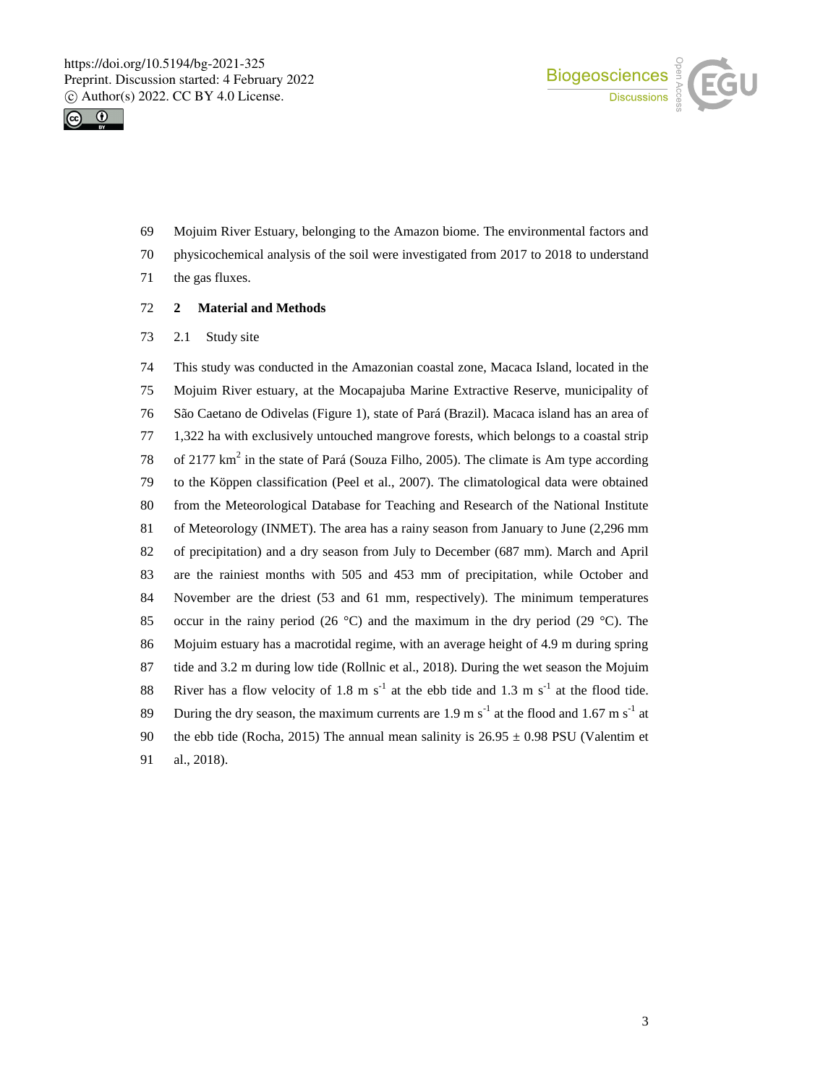



- Mojuim River Estuary, belonging to the Amazon biome. The environmental factors and
- physicochemical analysis of the soil were investigated from 2017 to 2018 to understand
- the gas fluxes.
- **2 Material and Methods**
- 2.1 Study site

 This study was conducted in the Amazonian coastal zone, Macaca Island, located in the Mojuim River estuary, at the Mocapajuba Marine Extractive Reserve, municipality of São Caetano de Odivelas (Figure 1), state of Pará (Brazil). Macaca island has an area of 1,322 ha with exclusively untouched mangrove forests, which belongs to a coastal strip 78 of 2177  $km^2$  in the state of Pará (Souza Filho, 2005). The climate is Am type according to the Köppen classification (Peel et al., 2007). The climatological data were obtained from the Meteorological Database for Teaching and Research of the National Institute of Meteorology (INMET). The area has a rainy season from January to June (2,296 mm of precipitation) and a dry season from July to December (687 mm). March and April are the rainiest months with 505 and 453 mm of precipitation, while October and November are the driest (53 and 61 mm, respectively). The minimum temperatures 85 occur in the rainy period (26  $^{\circ}$ C) and the maximum in the dry period (29  $^{\circ}$ C). The Mojuim estuary has a macrotidal regime, with an average height of 4.9 m during spring tide and 3.2 m during low tide (Rollnic et al., 2018). During the wet season the Mojuim 88 River has a flow velocity of 1.8 m  $s^{-1}$  at the ebb tide and 1.3 m  $s^{-1}$  at the flood tide. 89 During the dry season, the maximum currents are 1.9 m  $s^{-1}$  at the flood and 1.67 m  $s^{-1}$  at 90 the ebb tide (Rocha, 2015) The annual mean salinity is  $26.95 \pm 0.98$  PSU (Valentim et al., 2018).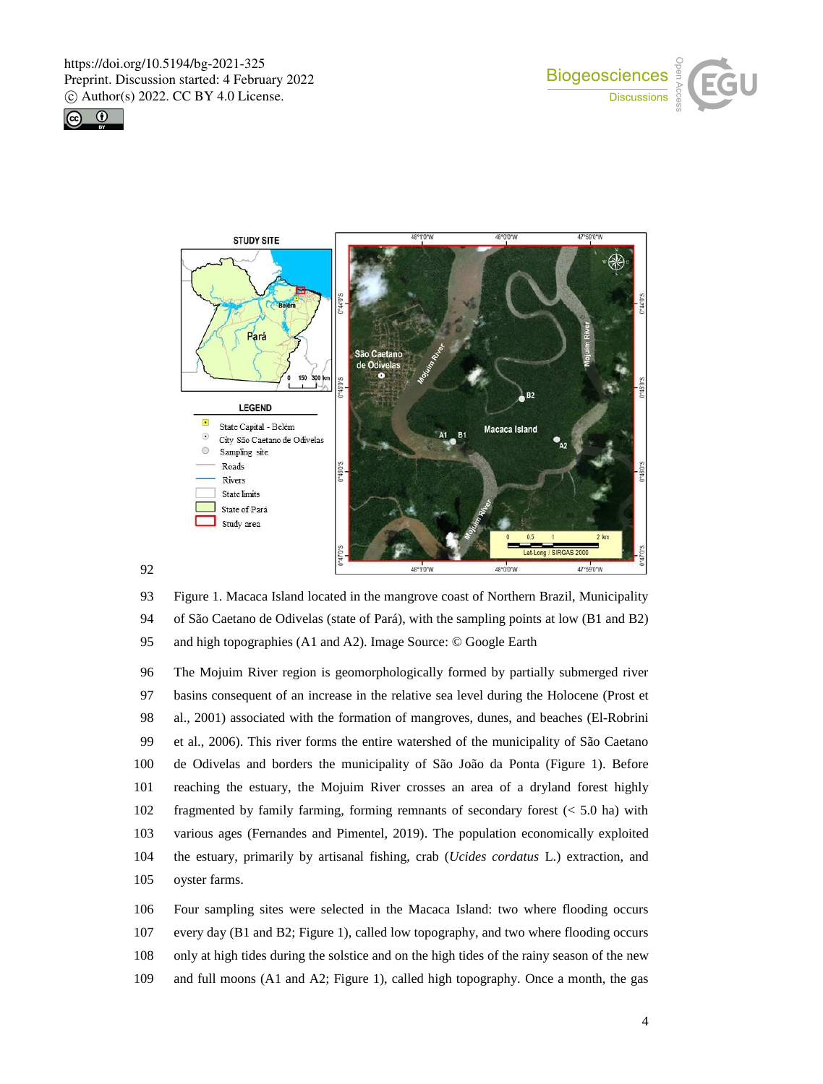





 Figure 1. Macaca Island located in the mangrove coast of Northern Brazil, Municipality of São Caetano de Odivelas (state of Pará), with the sampling points at low (B1 and B2) and high topographies (A1 and A2). Image Source: © Google Earth

 The Mojuim River region is geomorphologically formed by partially submerged river basins consequent of an increase in the relative sea level during the Holocene (Prost et al., 2001) associated with the formation of mangroves, dunes, and beaches (El-Robrini et al., 2006). This river forms the entire watershed of the municipality of São Caetano de Odivelas and borders the municipality of São João da Ponta (Figure 1). Before reaching the estuary, the Mojuim River crosses an area of a dryland forest highly fragmented by family farming, forming remnants of secondary forest (< 5.0 ha) with various ages (Fernandes and Pimentel, 2019). The population economically exploited the estuary, primarily by artisanal fishing, crab (*Ucides cordatus* L.) extraction, and oyster farms.

 Four sampling sites were selected in the Macaca Island: two where flooding occurs every day (B1 and B2; Figure 1), called low topography, and two where flooding occurs only at high tides during the solstice and on the high tides of the rainy season of the new and full moons (A1 and A2; Figure 1), called high topography. Once a month, the gas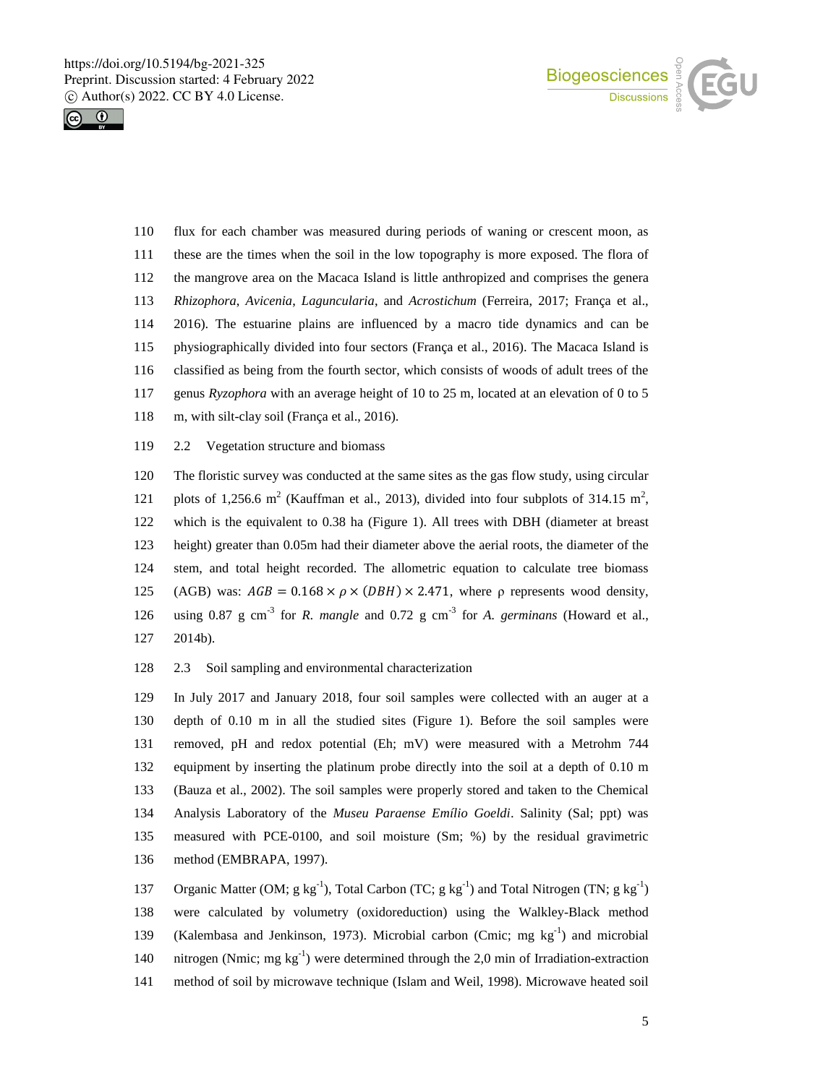



- flux for each chamber was measured during periods of waning or crescent moon, as these are the times when the soil in the low topography is more exposed. The flora of the mangrove area on the Macaca Island is little anthropized and comprises the genera *Rhizophora*, *Avicenia*, *Laguncularia*, and *Acrostichum* (Ferreira, 2017; França et al., 2016). The estuarine plains are influenced by a macro tide dynamics and can be physiographically divided into four sectors (França et al., 2016). The Macaca Island is classified as being from the fourth sector, which consists of woods of adult trees of the genus *Ryzophora* with an average height of 10 to 25 m, located at an elevation of 0 to 5 m, with silt-clay soil (França et al., 2016).
- 2.2 Vegetation structure and biomass

 The floristic survey was conducted at the same sites as the gas flow study, using circular 121 plots of 1,256.6 m<sup>2</sup> (Kauffman et al., 2013), divided into four subplots of 314.15 m<sup>2</sup>, which is the equivalent to 0.38 ha (Figure 1). All trees with DBH (diameter at breast height) greater than 0.05m had their diameter above the aerial roots, the diameter of the stem, and total height recorded. The allometric equation to calculate tree biomass 125 (AGB) was:  $AGB = 0.168 \times \rho \times (DBH) \times 2.471$ , where ρ represents wood density, 126 using 0.87 g cm<sup>-3</sup> for *R. mangle* and 0.72 g cm<sup>-3</sup> for *A. germinans* (Howard et al., 2014b).

2.3 Soil sampling and environmental characterization

 In July 2017 and January 2018, four soil samples were collected with an auger at a depth of 0.10 m in all the studied sites (Figure 1). Before the soil samples were removed, pH and redox potential (Eh; mV) were measured with a Metrohm 744 equipment by inserting the platinum probe directly into the soil at a depth of 0.10 m (Bauza et al., 2002). The soil samples were properly stored and taken to the Chemical Analysis Laboratory of the *Museu Paraense Emílio Goeldi*. Salinity (Sal; ppt) was measured with PCE-0100, and soil moisture (Sm; %) by the residual gravimetric method (EMBRAPA, 1997).

137 Organic Matter (OM;  $g kg^{-1}$ ), Total Carbon (TC;  $g kg^{-1}$ ) and Total Nitrogen (TN;  $g kg^{-1}$ ) were calculated by volumetry (oxidoreduction) using the Walkley-Black method 139 (Kalembasa and Jenkinson, 1973). Microbial carbon (Cmic; mg  $kg^{-1}$ ) and microbial 140 nitrogen (Nmic; mg  $kg^{-1}$ ) were determined through the 2,0 min of Irradiation-extraction method of soil by microwave technique (Islam and Weil, 1998). Microwave heated soil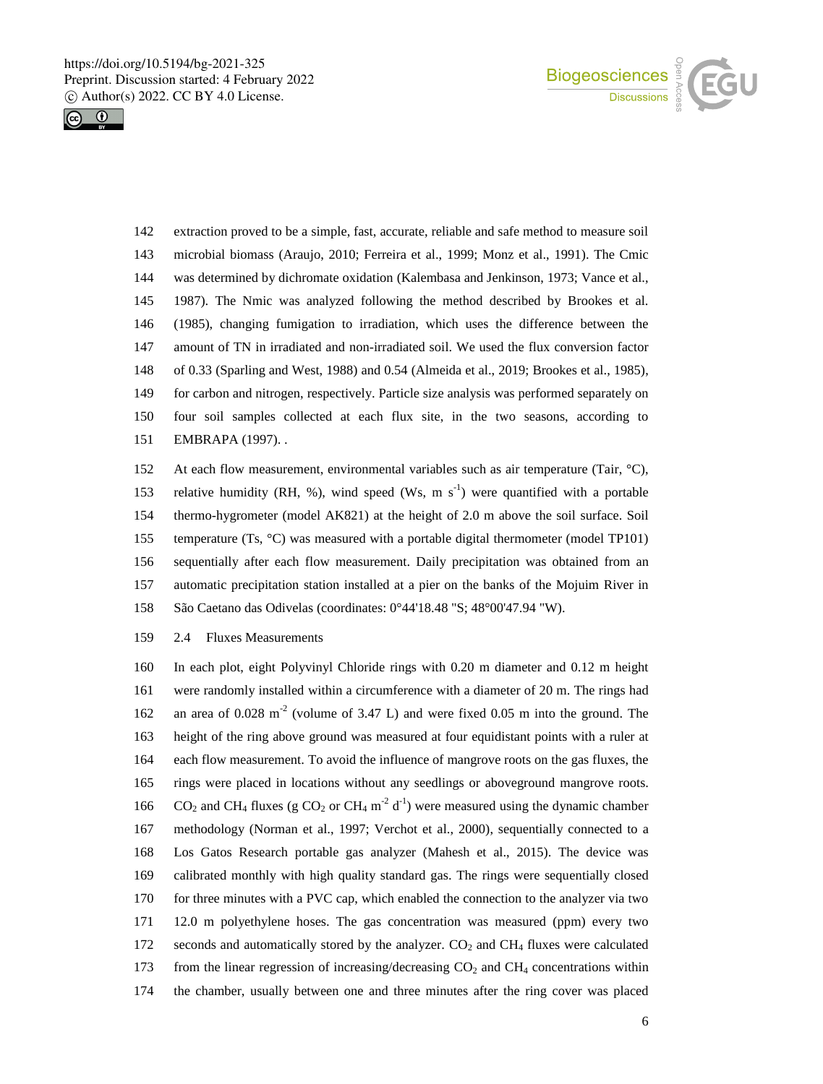



- extraction proved to be a simple, fast, accurate, reliable and safe method to measure soil microbial biomass (Araujo, 2010; Ferreira et al., 1999; Monz et al., 1991). The Cmic was determined by dichromate oxidation (Kalembasa and Jenkinson, 1973; Vance et al., 1987). The Nmic was analyzed following the method described by Brookes et al. (1985), changing fumigation to irradiation, which uses the difference between the amount of TN in irradiated and non-irradiated soil. We used the flux conversion factor of 0.33 (Sparling and West, 1988) and 0.54 (Almeida et al., 2019; Brookes et al., 1985), for carbon and nitrogen, respectively. Particle size analysis was performed separately on four soil samples collected at each flux site, in the two seasons, according to EMBRAPA (1997). .
- At each flow measurement, environmental variables such as air temperature (Tair, °C), 153 relative humidity (RH, %), wind speed (Ws, m  $s^{-1}$ ) were quantified with a portable thermo-hygrometer (model AK821) at the height of 2.0 m above the soil surface. Soil temperature (Ts, °C) was measured with a portable digital thermometer (model TP101) sequentially after each flow measurement. Daily precipitation was obtained from an automatic precipitation station installed at a pier on the banks of the Mojuim River in São Caetano das Odivelas (coordinates: 0°44'18.48 "S; 48°00'47.94 "W).
- 2.4 Fluxes Measurements

 In each plot, eight Polyvinyl Chloride rings with 0.20 m diameter and 0.12 m height were randomly installed within a circumference with a diameter of 20 m. The rings had 162 an area of  $0.028 \text{ m}^2$  (volume of 3.47 L) and were fixed 0.05 m into the ground. The height of the ring above ground was measured at four equidistant points with a ruler at each flow measurement. To avoid the influence of mangrove roots on the gas fluxes, the rings were placed in locations without any seedlings or aboveground mangrove roots.  $CO_2$  and CH<sub>4</sub> fluxes (g CO<sub>2</sub> or CH<sub>4</sub> m<sup>-2</sup> d<sup>-1</sup>) were measured using the dynamic chamber methodology (Norman et al., 1997; Verchot et al., 2000), sequentially connected to a Los Gatos Research portable gas analyzer (Mahesh et al., 2015). The device was calibrated monthly with high quality standard gas. The rings were sequentially closed for three minutes with a PVC cap, which enabled the connection to the analyzer via two 12.0 m polyethylene hoses. The gas concentration was measured (ppm) every two 172 seconds and automatically stored by the analyzer.  $CO<sub>2</sub>$  and  $CH<sub>4</sub>$  fluxes were calculated 173 from the linear regression of increasing/decreasing  $CO<sub>2</sub>$  and  $CH<sub>4</sub>$  concentrations within the chamber, usually between one and three minutes after the ring cover was placed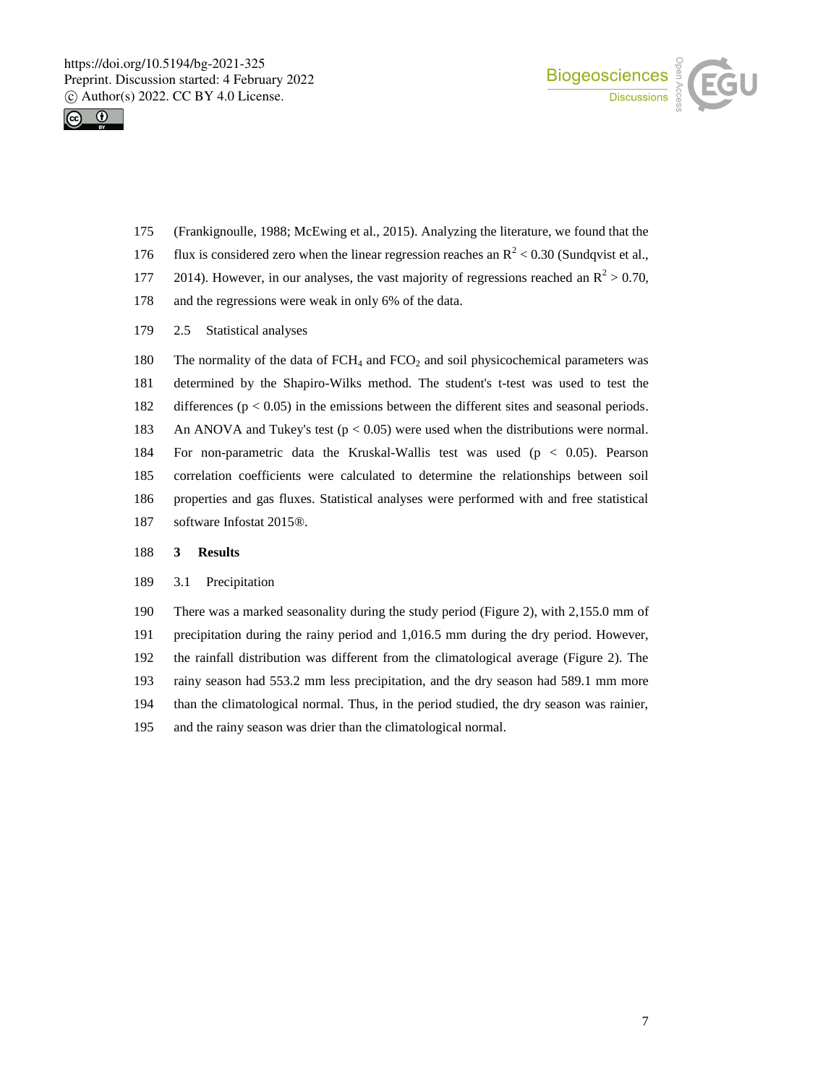



- (Frankignoulle, 1988; McEwing et al., 2015). Analyzing the literature, we found that the
- 176 flux is considered zero when the linear regression reaches an  $\mathbb{R}^2$  < 0.30 (Sundqvist et al.,
- 177 2014). However, in our analyses, the vast majority of regressions reached an  $\mathbb{R}^2 > 0.70$ ,
- and the regressions were weak in only 6% of the data.
- 2.5 Statistical analyses

180 The normality of the data of FCH<sub>4</sub> and FCO<sub>2</sub> and soil physicochemical parameters was determined by the Shapiro-Wilks method. The student's t-test was used to test the differences (p < 0.05) in the emissions between the different sites and seasonal periods. An ANOVA and Tukey's test (p < 0.05) were used when the distributions were normal. For non-parametric data the Kruskal-Wallis test was used (p < 0.05). Pearson correlation coefficients were calculated to determine the relationships between soil properties and gas fluxes. Statistical analyses were performed with and free statistical software Infostat 2015®.

### **3 Results**

## 3.1 Precipitation

 There was a marked seasonality during the study period (Figure 2), with 2,155.0 mm of precipitation during the rainy period and 1,016.5 mm during the dry period. However, the rainfall distribution was different from the climatological average (Figure 2). The rainy season had 553.2 mm less precipitation, and the dry season had 589.1 mm more than the climatological normal. Thus, in the period studied, the dry season was rainier, and the rainy season was drier than the climatological normal.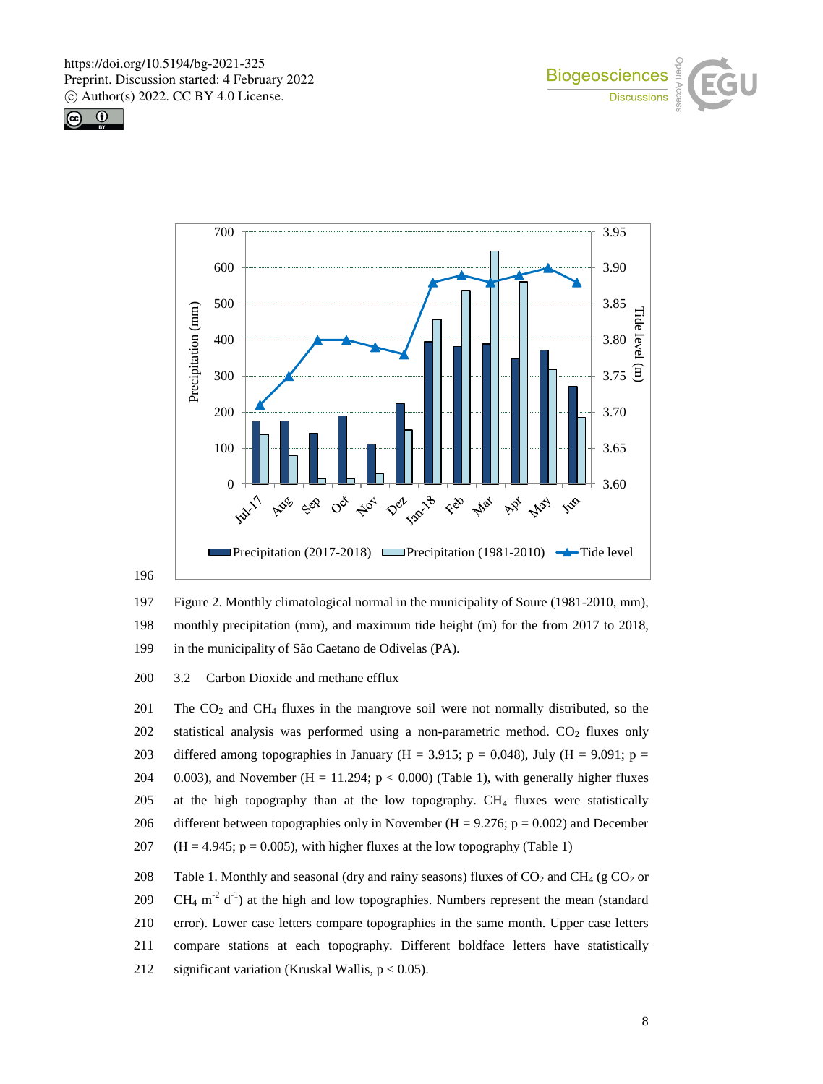





196



200 3.2 Carbon Dioxide and methane efflux

201 The  $CO<sub>2</sub>$  and  $CH<sub>4</sub>$  fluxes in the mangrove soil were not normally distributed, so the 202 statistical analysis was performed using a non-parametric method.  $CO<sub>2</sub>$  fluxes only 203 differed among topographies in January (H = 3.915; p = 0.048), July (H = 9.091; p = 204 0.003), and November (H = 11.294;  $p < 0.000$ ) (Table 1), with generally higher fluxes 205 at the high topography than at the low topography. CH<sup>4</sup> fluxes were statistically 206 different between topographies only in November  $(H = 9.276; p = 0.002)$  and December 207 (H = 4.945;  $p = 0.005$ ), with higher fluxes at the low topography (Table 1)

208 Table 1. Monthly and seasonal (dry and rainy seasons) fluxes of  $CO_2$  and  $CH_4$  (g  $CO_2$  or 209 CH<sub>4</sub> m<sup>-2</sup> d<sup>-1</sup>) at the high and low topographies. Numbers represent the mean (standard 210 error). Lower case letters compare topographies in the same month. Upper case letters 211 compare stations at each topography. Different boldface letters have statistically 212 significant variation (Kruskal Wallis,  $p < 0.05$ ).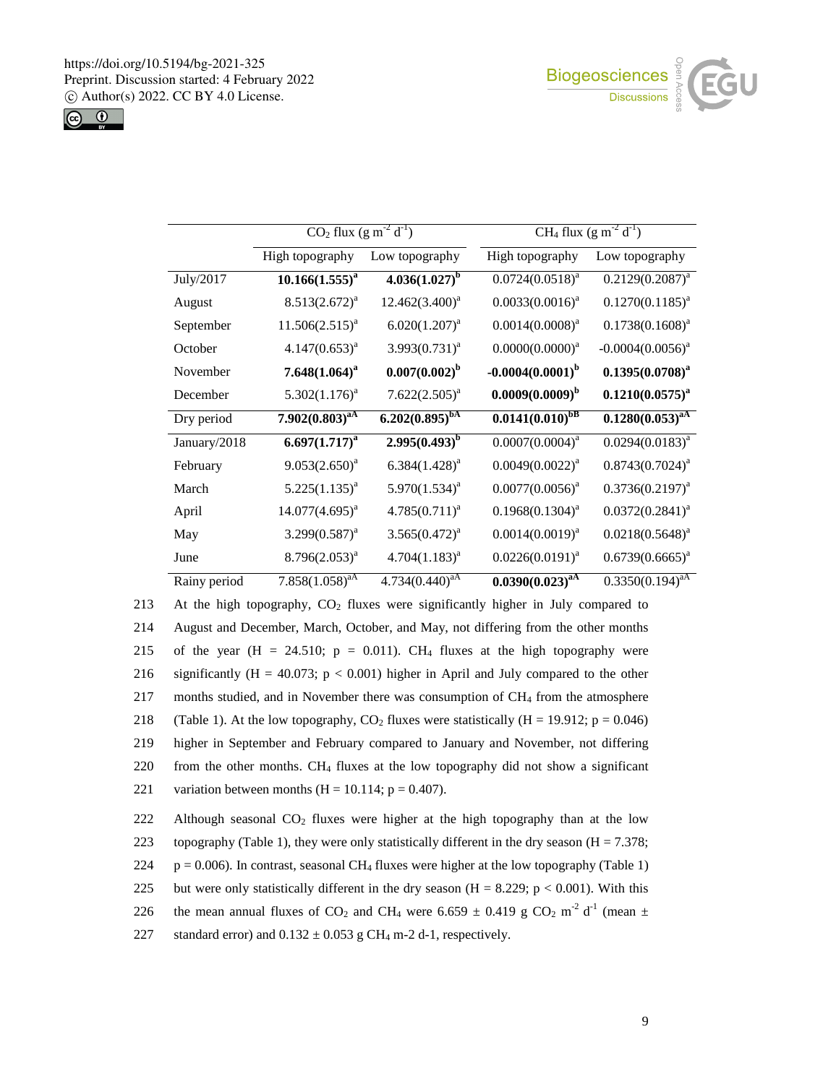



|              | $C\overline{O_2}$ flux $(g m^{-2} d^{-1})$ |                     |                       | CH <sub>4</sub> flux $(g m^{-2} d^{-1})$ |
|--------------|--------------------------------------------|---------------------|-----------------------|------------------------------------------|
|              | High topography                            | Low topography      | High topography       | Low topography                           |
| July/2017    | $10.166(1.555)^{a}$                        | $4.036(1.027)^b$    | $0.0724(0.0518)^{a}$  | $0.2129(0.2087)^a$                       |
| August       | $8.513(2.672)^a$                           | $12.462(3.400)^a$   | $0.0033(0.0016)^a$    | $0.1270(0.1185)^{a}$                     |
| September    | $11.506(2.515)^{a}$                        | $6.020(1.207)^{a}$  | $0.0014(0.0008)^{a}$  | $0.1738(0.1608)^a$                       |
| October      | $4.147(0.653)^{a}$                         | $3.993(0.731)^a$    | $0.0000(0.0000)^a$    | $-0.0004(0.0056)^{a}$                    |
| November     | $7.648(1.064)^a$                           | $0.007(0.002)^b$    | $-0.0004(0.0001)^{b}$ | $0.1395(0.0708)^a$                       |
| December     | $5.302(1.176)^a$                           | $7.622(2.505)^a$    | $0.0009(0.0009)^b$    | $0.1210(0.0575)^{a}$                     |
| Dry period   | $7.902(0.803)^{aA}$                        | $6.202(0.895)^{bA}$ | $0.0141(0.010)^{bB}$  | $0.1280(0.053)^{aA}$                     |
| January/2018 | $6.697(1.717)^{a}$                         | $2.995(0.493)^{b}$  | $0.0007(0.0004)^{a}$  | $0.0294(0.0183)^{a}$                     |
| February     | $9.053(2.650)^{a}$                         | $6.384(1.428)^{a}$  | $0.0049(0.0022)^{a}$  | $0.8743(0.7024)^{a}$                     |
| March        | $5.225(1.135)^{a}$                         | $5.970(1.534)^a$    | $0.0077(0.0056)^{a}$  | $0.3736(0.2197)^{a}$                     |
| April        | $14.077(4.695)^{a}$                        | $4.785(0.711)^{a}$  | $0.1968(0.1304)^{a}$  | $0.0372(0.2841)^a$                       |
| May          | $3.299(0.587)^{a}$                         | $3.565(0.472)^{a}$  | $0.0014(0.0019)^{a}$  | $0.0218(0.5648)^a$                       |
| June         | $8.796(2.053)^{a}$                         | $4.704(1.183)^{a}$  | $0.0226(0.0191)^{a}$  | $0.6739(0.6665)^{a}$                     |
| Rainy period | $7.858(1.058)^{aA}$                        | $4.734(0.440)^{aA}$ | $0.0390(0.023)^{aA}$  | $0.3350(0.194)^{aA}$                     |

213 At the high topography,  $CO<sub>2</sub>$  fluxes were significantly higher in July compared to 214 August and December, March, October, and May, not differing from the other months 215 of the year (H = 24.510;  $p = 0.011$ ). CH<sub>4</sub> fluxes at the high topography were 216 significantly (H = 40.073;  $p < 0.001$ ) higher in April and July compared to the other 217 months studied, and in November there was consumption of CH<sup>4</sup> from the atmosphere 218 (Table 1). At the low topography,  $CO_2$  fluxes were statistically (H = 19.912; p = 0.046) 219 higher in September and February compared to January and November, not differing 220 from the other months. CH<sub>4</sub> fluxes at the low topography did not show a significant 221 variation between months  $(H = 10.114; p = 0.407)$ . 222 Although seasonal  $CO<sub>2</sub>$  fluxes were higher at the high topography than at the low 223 topography (Table 1), they were only statistically different in the dry season ( $H = 7.378$ ;

 $224$  p = 0.006). In contrast, seasonal CH<sub>4</sub> fluxes were higher at the low topography (Table 1)

225 but were only statistically different in the dry season (H = 8.229;  $p < 0.001$ ). With this

226 the mean annual fluxes of CO<sub>2</sub> and CH<sub>4</sub> were 6.659  $\pm$  0.419 g CO<sub>2</sub> m<sup>-2</sup> d<sup>-1</sup> (mean  $\pm$ 

227 standard error) and  $0.132 \pm 0.053$  g CH<sub>4</sub> m-2 d-1, respectively.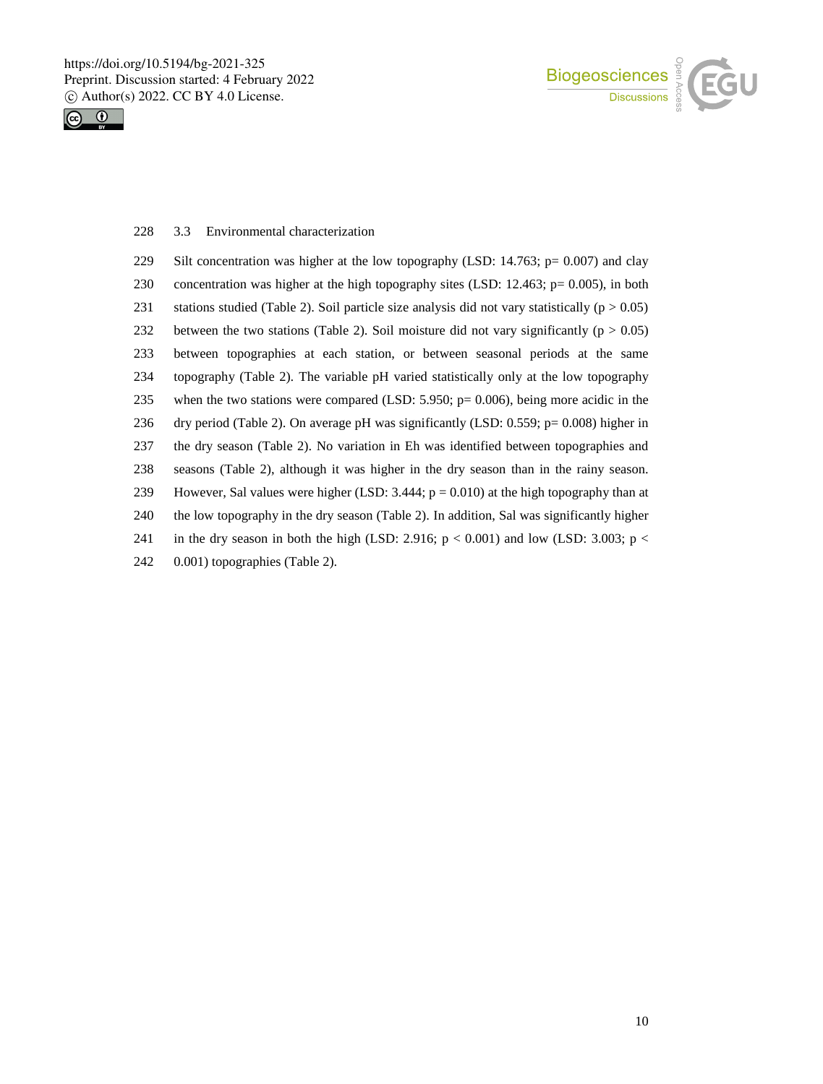



## 3.3 Environmental characterization

| 229 | Silt concentration was higher at the low topography (LSD: 14.763; $p = 0.007$ ) and clay          |
|-----|---------------------------------------------------------------------------------------------------|
| 230 | concentration was higher at the high topography sites (LSD: 12.463; $p = 0.005$ ), in both        |
| 231 | stations studied (Table 2). Soil particle size analysis did not vary statistically ( $p > 0.05$ ) |
| 232 | between the two stations (Table 2). Soil moisture did not vary significantly ( $p > 0.05$ )       |
| 233 | between topographies at each station, or between seasonal periods at the same                     |
| 234 | topography (Table 2). The variable pH varied statistically only at the low topography             |
| 235 | when the two stations were compared (LSD: $5.950$ ; $p = 0.006$ ), being more acidic in the       |
| 236 | dry period (Table 2). On average pH was significantly (LSD: $0.559$ ; p= $0.008$ ) higher in      |
| 237 | the dry season (Table 2). No variation in Eh was identified between topographies and              |
| 238 | seasons (Table 2), although it was higher in the dry season than in the rainy season.             |
| 239 | However, Sal values were higher (LSD: 3.444; $p = 0.010$ ) at the high topography than at         |
| 240 | the low topography in the dry season (Table 2). In addition, Sal was significantly higher         |
| 241 | in the dry season in both the high (LSD: 2.916; $p < 0.001$ ) and low (LSD: 3.003; $p <$          |
| 242 | 0.001) topographies (Table 2).                                                                    |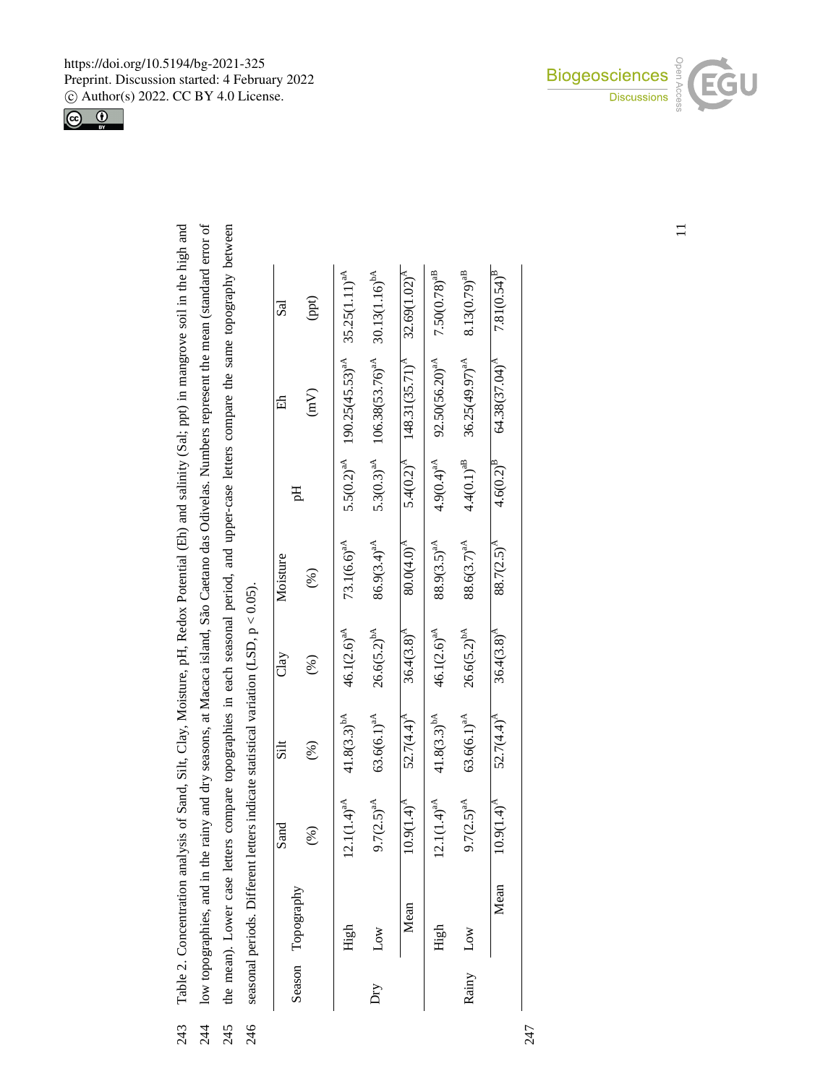

| 243<br>243 | sis of Sand, Silt, Clay, Moisture, pH, Redox Potential (Eh) and salinity (Sal; ppt) in mangrove soil in the high and<br>Table 2. Concentration analysi |
|------------|--------------------------------------------------------------------------------------------------------------------------------------------------------|
| 244        | low topographies, and in the rainy and dry seasons, at Macaca island, São Caetano das Odivelas. Numbers represent the mean (standard error of          |
|            | 245 the mean). Lower case letters compare topographies in each seasonal period, and upper-case letters compare the same topography between             |
| 246        | seasonal periods. Different letters indicate statistical variation (LSD, $p < 0.05$ ).                                                                 |

|       | position points in the case of |                  |                  |                  |                        |                 |                                           |                            |
|-------|--------------------------------|------------------|------------------|------------------|------------------------|-----------------|-------------------------------------------|----------------------------|
|       | Season Topography              | Sand             | Silt             | Clay             | Moisture               | Hq              | 岳                                         | Sal                        |
|       |                                | $(\%)$           | (%)              | (%)              | (%)                    |                 | $\binom{m}{k}$                            | (ppt)                      |
|       | High                           | $12.1(1.4)^{aA}$ | $41.8(3.3)^{bA}$ | $46.1(2.6)^{aA}$ | $73.1(6.6)^{aA}$       | $5.5(0.2)^{aA}$ | $190.25(45.53)^{aA}$                      | $35.25(1.11)^{aA}$         |
| Σή    | Low                            | $9.7(2.5)^{aA}$  | $63.6(6.1)^{aA}$ | $26.6(5.2)^{bA}$ | $86.9(3.4)^{aA}$       | $5.3(0.3)^{aA}$ | $106.38(53.76)^{aA}$                      | 30.13(1.16) <sup>bA</sup>  |
|       | Mean                           | $10.9(1.4)^{A}$  | $52.7(4.4)^{A}$  | $36.4(3.8)^{A}$  | $80.0(4.0)^{A}$        |                 | $5.4(0.2)^{A}$ 148.31(35.71) <sup>A</sup> | 32.69(1.02) <sup>A</sup>   |
|       | High                           | $12.1(1.4)^{aA}$ | $41.8(3.3)^{bA}$ | $46.1(2.6)^{aA}$ | $88.9(3.5)^{aA}$       | $4.9(0.4)^{aA}$ | $92.50(56.20)^{aA}$                       | $7.50(0.78)^{\mathrm{aB}}$ |
| Rainy | Low                            | $9.7(2.5)^{aA}$  | $63.6(6.1)^{aA}$ | $26.6(5.2)^{bA}$ | $88.6(3.7)^{aA}$       | $4.4(0.1)^{aB}$ | $36.25(49.97)^{aA}$                       | $8.13(0.79)^{aB}$          |
|       | Mean                           | $10.9(1.4)^{A}$  | $52.7(4.4)^{A}$  | $36.4(3.8)^{A}$  | 88.7(2.5) <sup>A</sup> | $4.6(0.2)^{B}$  | $64.38(37.04)^A$                          | $7.81(0.54)$ <sup>B</sup>  |
|       |                                |                  |                  |                  |                        |                 |                                           |                            |



 $\equiv$ 

247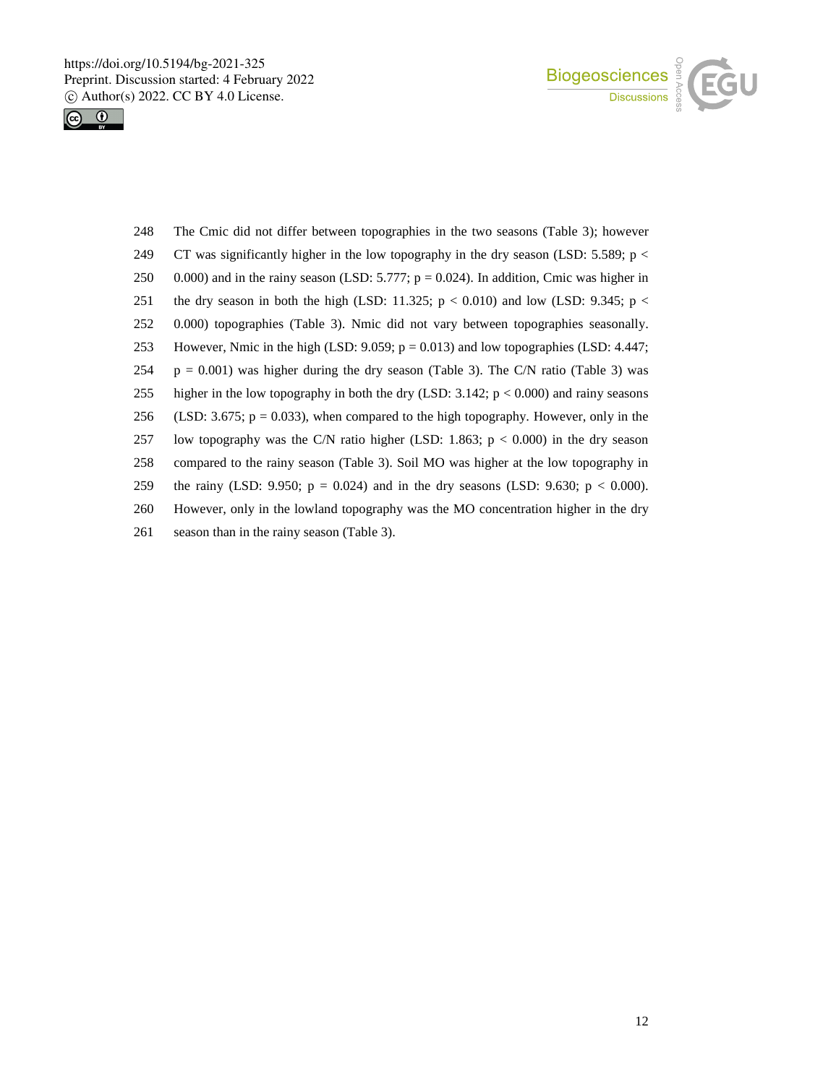



 The Cmic did not differ between topographies in the two seasons (Table 3); however 249 CT was significantly higher in the low topography in the dry season (LSD: 5.589;  $p <$ 250 0.000) and in the rainy season (LSD: 5.777;  $p = 0.024$ ). In addition, Cmic was higher in 251 the dry season in both the high (LSD: 11.325;  $p < 0.010$ ) and low (LSD: 9.345;  $p <$  0.000) topographies (Table 3). Nmic did not vary between topographies seasonally. However, Nmic in the high (LSD: 9.059; p = 0.013) and low topographies (LSD: 4.447;  $p = 0.001$ ) was higher during the dry season (Table 3). The C/N ratio (Table 3) was higher in the low topography in both the dry (LSD: 3.142; p < 0.000) and rainy seasons 256 (LSD: 3.675;  $p = 0.033$ ), when compared to the high topography. However, only in the low topography was the C/N ratio higher (LSD: 1.863; p < 0.000) in the dry season compared to the rainy season (Table 3). Soil MO was higher at the low topography in 259 the rainy (LSD: 9.950;  $p = 0.024$ ) and in the dry seasons (LSD: 9.630;  $p < 0.000$ ). However, only in the lowland topography was the MO concentration higher in the dry season than in the rainy season (Table 3).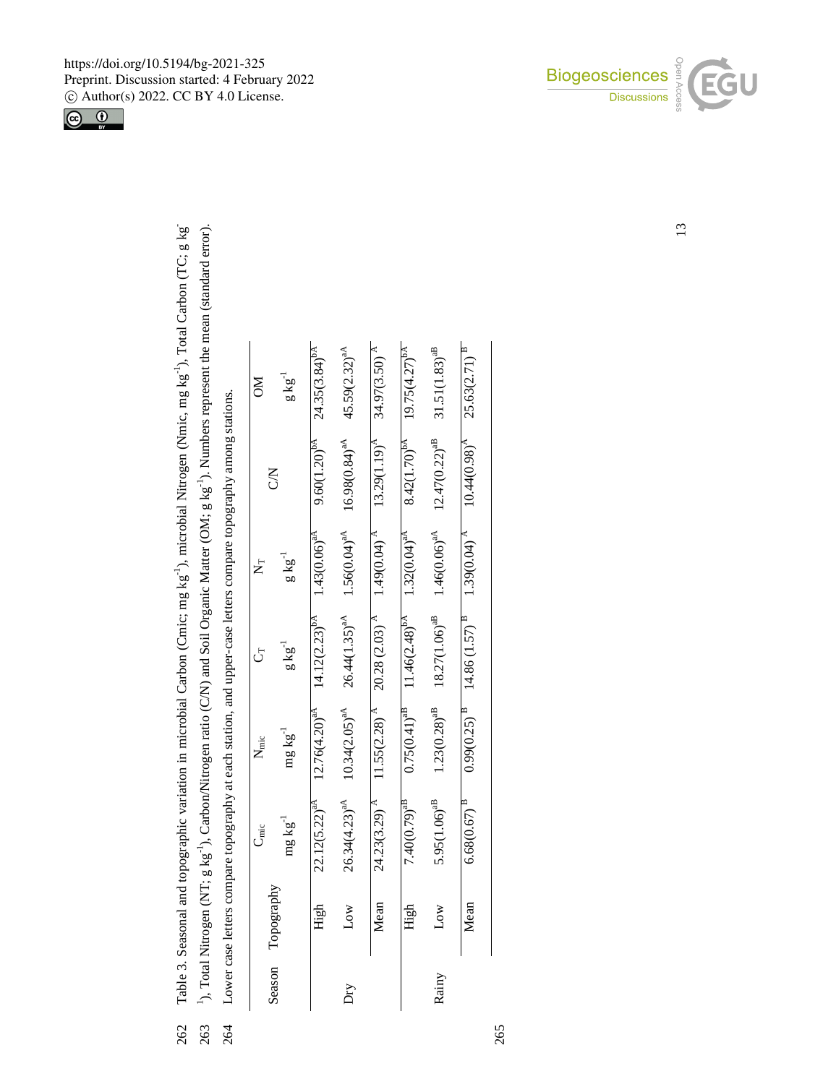263 <sup>1</sup>), Total Nitrogen (NT; g kg<sup>-1</sup>), Carbon/Nitrogen ratio (C/N) and Soil Organic Matter (OM; g kg<sup>-1</sup>). Numbers represent the mean (standard error). <sup>1</sup>), Total Nitrogen (NT; g kg<sup>-1</sup>), Carbon/Nitrogen ratio (C/N) and Soil Organic Matter (OM; g kg<sup>-1</sup>). Numbers represent the mean (standard error). -1), Total Carbon (TC; g kg -1), microbial Nitrogen (Nmic, mg kg <sup>-1</sup>), Carbon/Nitrogen ratio (C/N) and Soil Organic Matter (OM; g kg Table 3. Seasonal and topographic variation in microbial Carbon (Cmic; mg kg

262

Lower case letters compare topography at each station, and upper-case letters compare topography among stations. 1), Total Nitrogen (NT; g kg 263

|                                                                                                                      |               | $g\,kg^{-1}$      | $22.12(5.22)^{aA}$ $12.76(4.20)^{aA}$ $14.12(2.23)^{bA}$ $1.4306)^{aA}$ $9.600(1.20)^{bA}$ $24.35(3.84)^{bA}$ |
|----------------------------------------------------------------------------------------------------------------------|---------------|-------------------|---------------------------------------------------------------------------------------------------------------|
|                                                                                                                      | Š             |                   |                                                                                                               |
|                                                                                                                      |               | $g\,kg^{-1}$      |                                                                                                               |
|                                                                                                                      |               | $g\,kg^{-1}$      |                                                                                                               |
|                                                                                                                      | $N_{\rm mic}$ | $mg \, kg^{-1}$   |                                                                                                               |
| 264 Lower case letters compare topography at each station, and upper-case letters compare topography among stations. | $\frac{1}{2}$ | mg kg             |                                                                                                               |
|                                                                                                                      |               | Season Topography | High<br>High                                                                                                  |
|                                                                                                                      |               |                   |                                                                                                               |
|                                                                                                                      |               |                   |                                                                                                               |

| ≷                     | $g\, \text{kg}^{-1}$ | 9.60(1.20) <sup>bA</sup> 24.35(3.84) <sup>bA</sup>                         |                                                                                                                  |                                                                                          |                                                                                                               |                                                                                                                |                                                                                                                                                                |
|-----------------------|----------------------|----------------------------------------------------------------------------|------------------------------------------------------------------------------------------------------------------|------------------------------------------------------------------------------------------|---------------------------------------------------------------------------------------------------------------|----------------------------------------------------------------------------------------------------------------|----------------------------------------------------------------------------------------------------------------------------------------------------------------|
|                       | 3<br>2               |                                                                            | $26.34(4.23)^{aA}$ $10.34(2.05)^{aA}$ $26.44(1.35)^{aA}$ $1.56(0.64)^{aA}$ $16.98(0.84)^{aA}$ $45.59(2.32)^{aA}$ | Mean 24.22(3.29) ^ 11.55(2.28) ^ 20.28(2.28) ^ 11.55(2.28) ^ 11.29(1.19) ^ 13.27(3.29) ^ | $7.40(0.79)^{ab}$ $0.75(0.41)^{ab}$ $11.46(2.48)^{ba}$ $1.32(0.04)^{ab}$ $8.42(1.70)^{ba}$ $19.75(4.27)^{ba}$ | $5.95(1.06)^{3B}$ $1.23(0.28)^{3B}$ $18.27(1.06)^{3B}$ $1.46(0.06)^{3A}$ $12.47(0.22)^{3B}$ $31.51(1.83)^{3B}$ | $6.68(0.67)^{\frac{B}{}}$ $0.99(0.25)^{\frac{B}{}}$ $14.86(1.57)^{\frac{B}{}}$ $1.39(0.04)^{\frac{A}{}}$ $10.44(0.98)^{\frac{A}{}}$ $25.63(2.71)^{\frac{B}{}}$ |
|                       | $g\,kg^{-1}$         |                                                                            |                                                                                                                  |                                                                                          |                                                                                                               |                                                                                                                |                                                                                                                                                                |
|                       | $g\,kg^{-1}$         | $22.12(5.22)^{aA}$ $12.76(4.20)^{aA}$ $14.12(2.23)^{bA}$ $1.43(0.06)^{aA}$ |                                                                                                                  |                                                                                          |                                                                                                               |                                                                                                                |                                                                                                                                                                |
| $N_{\text{mic}}$      | $mg\,kg^{-1}$        |                                                                            |                                                                                                                  |                                                                                          |                                                                                                               |                                                                                                                |                                                                                                                                                                |
| $\nightharpoonup$ mic | $mg\,kg^{-1}$        |                                                                            |                                                                                                                  |                                                                                          |                                                                                                               |                                                                                                                |                                                                                                                                                                |
|                       | Topography           | High                                                                       | Low                                                                                                              |                                                                                          | High                                                                                                          |                                                                                                                | Mean                                                                                                                                                           |
|                       | Season               |                                                                            | ЙŲ                                                                                                               |                                                                                          |                                                                                                               | Rainy                                                                                                          |                                                                                                                                                                |

https://doi.org/10.5194/bg-2021-325 Preprint. Discussion started: 4 February 2022 c Author(s) 2022. CC BY 4.0 License.

-





13

265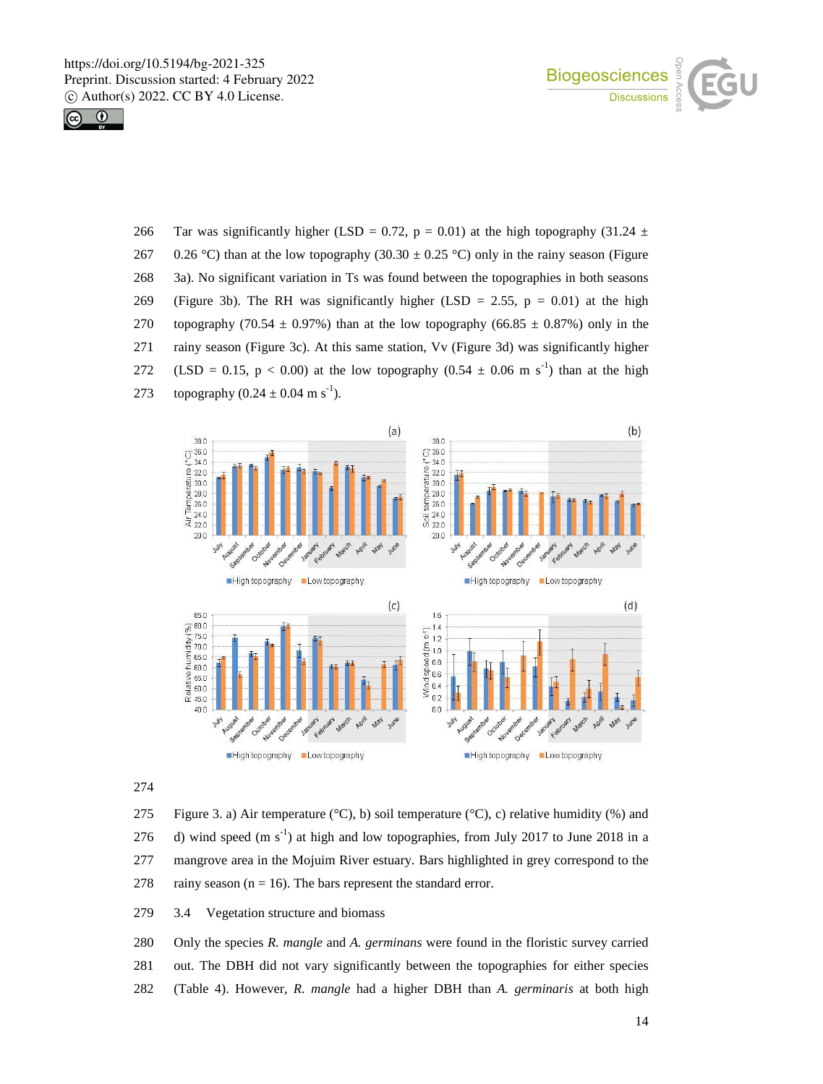



266 Tar was significantly higher (LSD = 0.72, p = 0.01) at the high topography (31.24  $\pm$ 267 0.26 °C) than at the low topography (30.30  $\pm$  0.25 °C) only in the rainy season (Figure 268 3a). No significant variation in Ts was found between the topographies in both seasons 269 (Figure 3b). The RH was significantly higher (LSD = 2.55,  $p = 0.01$ ) at the high 270 topography (70.54  $\pm$  0.97%) than at the low topography (66.85  $\pm$  0.87%) only in the 271 rainy season (Figure 3c). At this same station, Vv (Figure 3d) was significantly higher 272 (LSD = 0.15, p < 0.00) at the low topography  $(0.54 \pm 0.06 \text{ m s}^{-1})$  than at the high 273 topography  $(0.24 \pm 0.04 \text{ m s}^{-1})$ .



274

275 Figure 3. a) Air temperature  $({}^{\circ}C)$ , b) soil temperature  $({}^{\circ}C)$ , c) relative humidity (%) and 276 d) wind speed  $(m s<sup>-1</sup>)$  at high and low topographies, from July 2017 to June 2018 in a 277 mangrove area in the Mojuim River estuary. Bars highlighted in grey correspond to the 278 rainy season ( $n = 16$ ). The bars represent the standard error.

279 3.4 Vegetation structure and biomass

280 Only the species *R. mangle* and *A. germinans* were found in the floristic survey carried 281 out. The DBH did not vary significantly between the topographies for either species 282 (Table 4). However, *R. mangle* had a higher DBH than *A. germinaris* at both high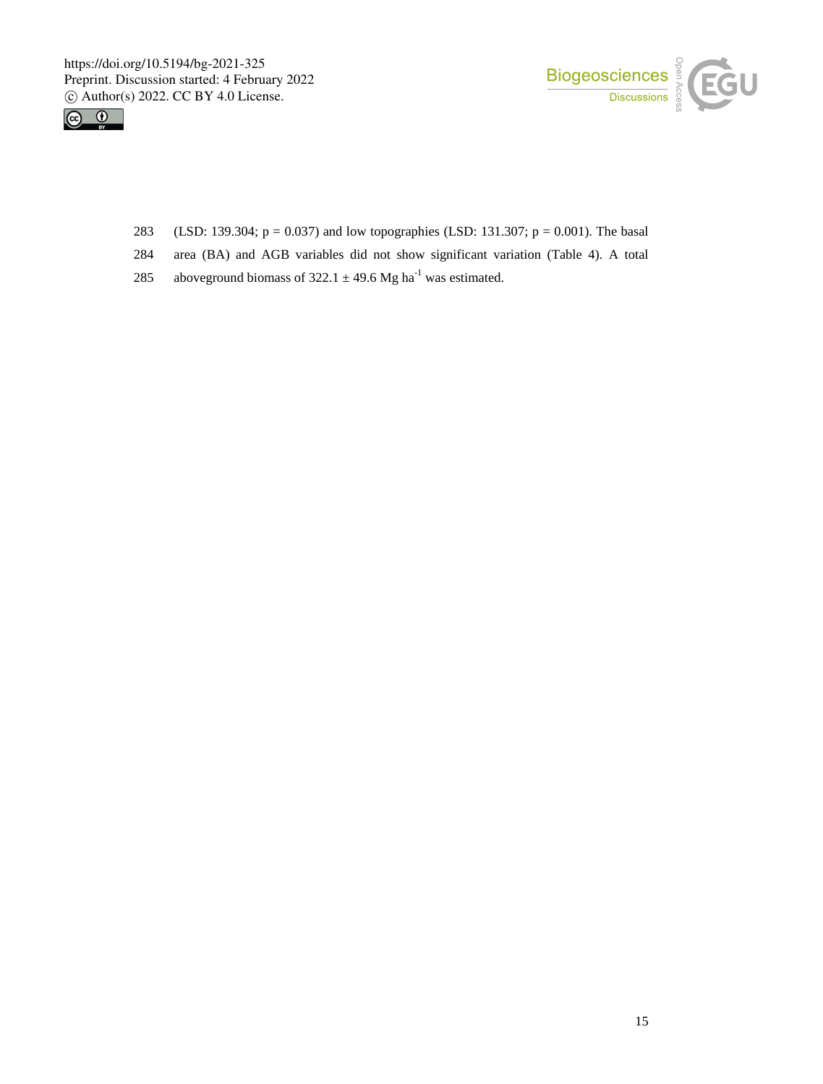



- 283 (LSD: 139.304; p = 0.037) and low topographies (LSD: 131.307; p = 0.001). The basal
- 284 area (BA) and AGB variables did not show significant variation (Table 4). A total
- 285 aboveground biomass of 322.1  $\pm$  49.6 Mg ha<sup>-1</sup> was estimated.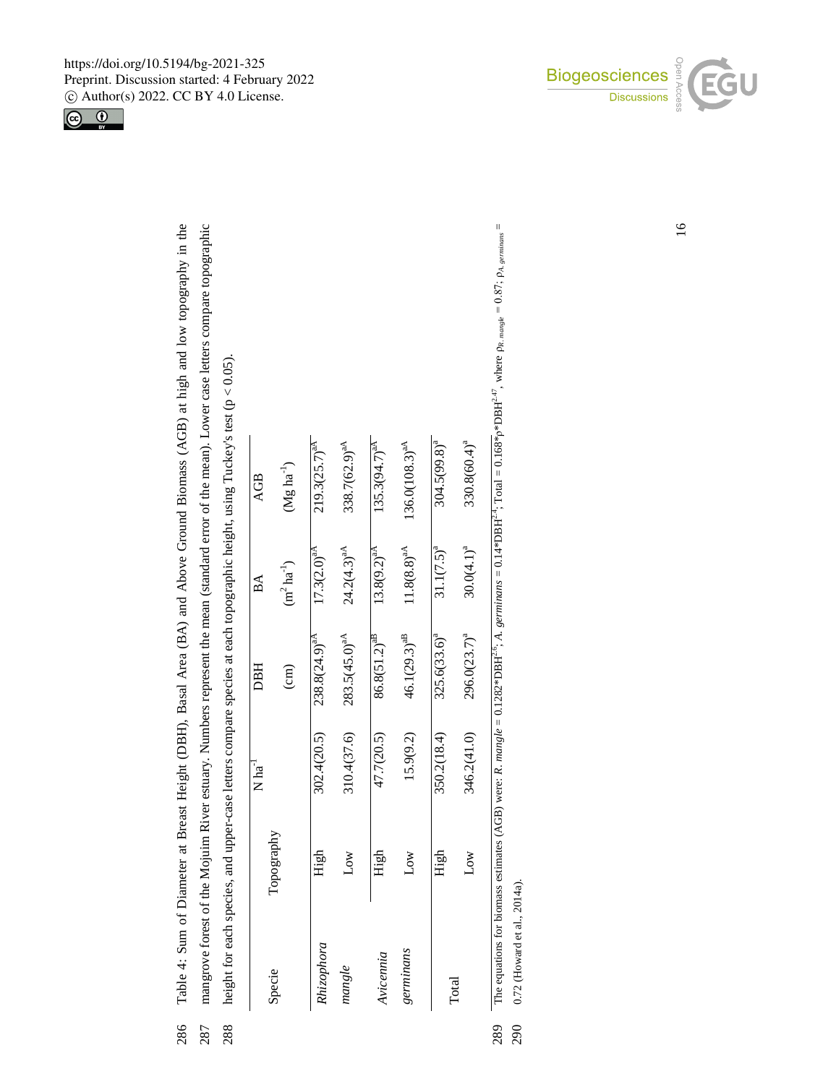Table 4: Sum of Diameter at Breast Height (DBH), Basal Area (BA) and Above Ground Biomass (AGB) at high and low topography in the mangrove forest of the Mojuim River estuary. Numbers represent the mean (standard error of the mean). Lower case letters compare topographic 287 Table 4: Sum of Diameter at Breast Height (DBH), Basal Area (BA) and Above Ground Biomass (AGB) at high and low topography in the 286 mangrove forest of the Mojuim River estuary. Numbers represent the mean (standard error of the mean). Lower case letters compare topographic

286

height for each species, and upper-case letters compare species at each topographic height, using Tuckey's test ( $p < 0.05$ ).  $y's test (p < 0.05)$ . height for each species, and upper-case letters compare species at each topographic height, using Tucke 287 288

|        | AGB                            | $(Mg ha^{-1})$  | $219.3(25.7)^{aA}$ | 338.7(62.9) <sup>aA</sup> | $135.3(94.7)^{aA}$ | $136.0(108.3)^{aA}$ | $304.5(99.8)^{a}$ | $330.8(60.4)^a$          |
|--------|--------------------------------|-----------------|--------------------|---------------------------|--------------------|---------------------|-------------------|--------------------------|
| .<br>ע | $\mathbb A$                    | $(m^2ha^{-1})$  | $17.3(2.0)^{aA}$   | $24.2(4.3)^{aA}$          | $13.8(9.2)^{aA}$   | $11.8(8.8)^{aA}$    | $31.1(7.5)^{a}$   | $30.0(4.1)^{a}$          |
|        | <b>DBH</b>                     | $\binom{cm}{ }$ | $238.8(24.9)^{aA}$ | $283.5(45.0)^{aA}$        | $86.8(51.2)^{aB}$  | $46.1(29.3)^{aB}$   | $325.6(33.6)^{a}$ | 296.0(23.7) <sup>a</sup> |
|        | $\overline{\text{Na}}^{^{-1}}$ |                 | 302.4(20.5)        | 310.4(37.6)               | 47.7(20.5)         | 15.9(9.2)           | 350.2(18.4)       | 346.2(41.0)              |
|        | Topography                     |                 | High               | Low                       | High               | Low                 | High              | Low                      |
|        | Specie                         |                 | Rhizophora         | mangle                    | Avicennia          | germinans           | Total             |                          |
|        |                                |                 |                    |                           |                    |                     |                   |                          |

The equations for biomass estimates (AGB) were: R. mangle = 0.1282\*DBH<sup>2,6</sup>; A. germinans = 0.14\*DBH<sup>2,4</sup>; Total = 0.168\*<sub>0</sub>\*DBH<sup>2,47</sup>, where  $\rho_{R, \text{range}} = 0.87$ ;  $\rho_{A, \text{geninner}} =$ The equations for biomass estimates (AGB) were: *R. mangle* = 0.1282\*DBH<sup>2.6</sup>; *A. germinans* = 0.14\*DBH<sup>2.4</sup>; Total = 0.168\*ρ\*DBH<sup>2.47</sup>, where  $\rho_R$ . *mangle* = 0.87;  $\rho_A$ , *germinans* =

0.72 (Howard et al., 2014a). 0.72 (Howard et al., 2014a). 289 290





16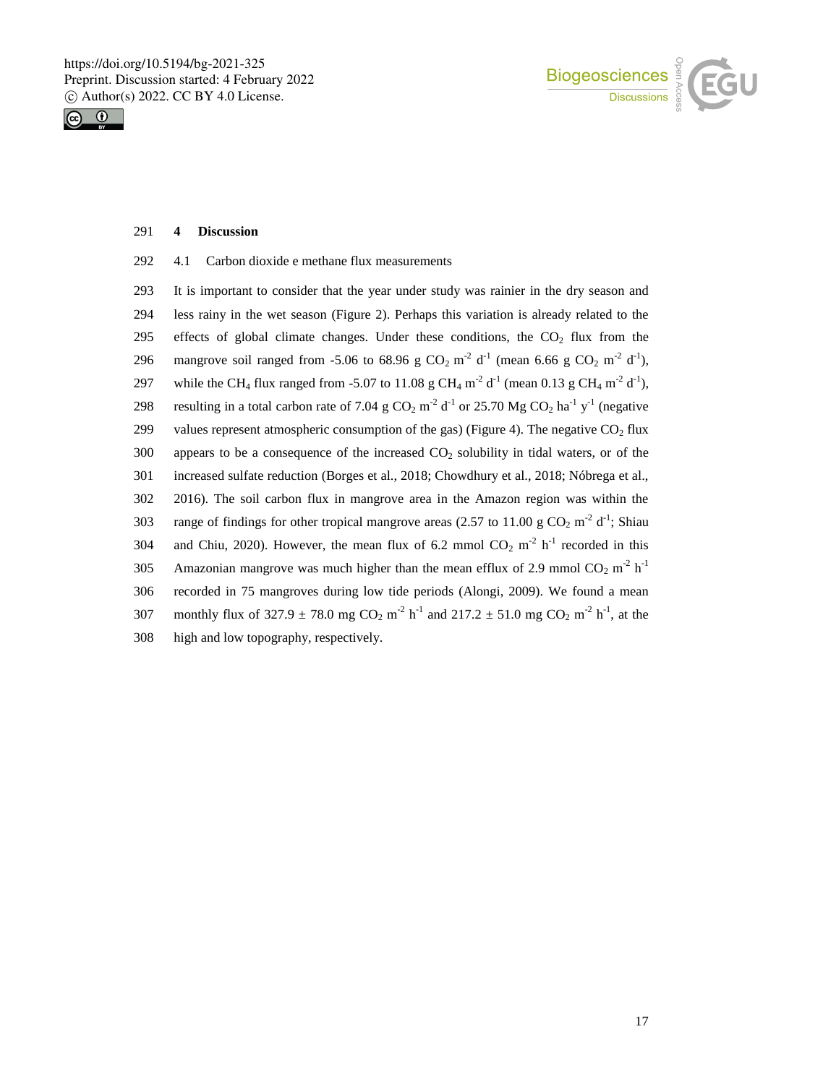



#### 291 **4 Discussion**

292 4.1 Carbon dioxide e methane flux measurements

293 It is important to consider that the year under study was rainier in the dry season and 294 less rainy in the wet season (Figure 2). Perhaps this variation is already related to the 295 effects of global climate changes. Under these conditions, the  $CO<sub>2</sub>$  flux from the 296 mangrove soil ranged from -5.06 to 68.96 g CO<sub>2</sub> m<sup>-2</sup> d<sup>-1</sup> (mean 6.66 g CO<sub>2</sub> m<sup>-2</sup> d<sup>-1</sup>), 297 while the CH<sub>4</sub> flux ranged from -5.07 to 11.08 g CH<sub>4</sub> m<sup>-2</sup> d<sup>-1</sup> (mean 0.13 g CH<sub>4</sub> m<sup>-2</sup> d<sup>-1</sup>), 298 resulting in a total carbon rate of 7.04 g  $CO_2$  m<sup>-2</sup> d<sup>-1</sup> or 25.70 Mg  $CO_2$  ha<sup>-1</sup> y<sup>-1</sup> (negative 299 values represent atmospheric consumption of the gas) (Figure 4). The negative  $CO<sub>2</sub>$  flux  $300$  appears to be a consequence of the increased  $CO<sub>2</sub>$  solubility in tidal waters, or of the 301 increased sulfate reduction (Borges et al., 2018; Chowdhury et al., 2018; Nóbrega et al., 302 2016). The soil carbon flux in mangrove area in the Amazon region was within the 303 range of findings for other tropical mangrove areas (2.57 to 11.00 g CO<sub>2</sub> m<sup>-2</sup> d<sup>-1</sup>; Shiau 304 and Chiu, 2020). However, the mean flux of 6.2 mmol  $CO_2$  m<sup>-2</sup> h<sup>-1</sup> recorded in this 305 • Amazonian mangrove was much higher than the mean efflux of 2.9 mmol  $CO_2$  m<sup>-2</sup> h<sup>-1</sup> 306 recorded in 75 mangroves during low tide periods (Alongi, 2009). We found a mean 307 monthly flux of 327.9  $\pm$  78.0 mg CO<sub>2</sub> m<sup>-2</sup> h<sup>-1</sup> and 217.2  $\pm$  51.0 mg CO<sub>2</sub> m<sup>-2</sup> h<sup>-1</sup>, at the 308 high and low topography, respectively.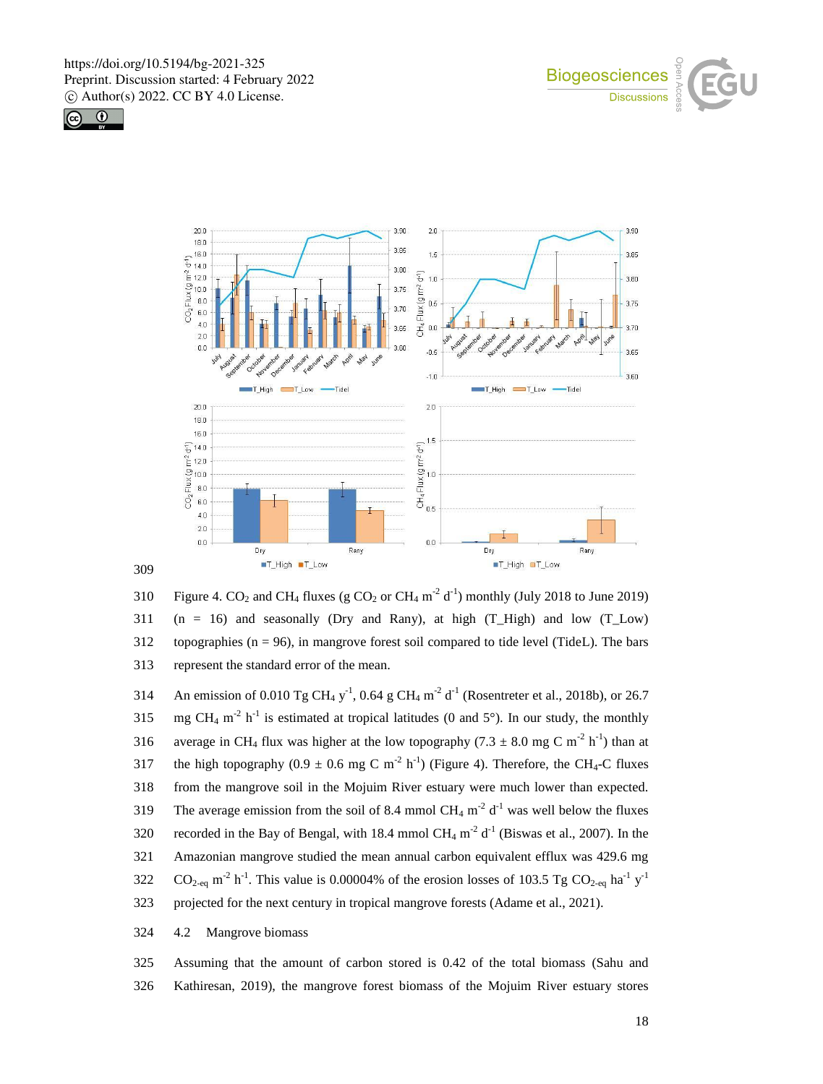



309



310 Figure 4. CO<sub>2</sub> and CH<sub>4</sub> fluxes (g CO<sub>2</sub> or CH<sub>4</sub> m<sup>-2</sup> d<sup>-1</sup>) monthly (July 2018 to June 2019) 311 (n = 16) and seasonally (Dry and Rany), at high (T High) and low (T Low) 312 topographies  $(n = 96)$ , in mangrove forest soil compared to tide level (TideL). The bars 313 represent the standard error of the mean.

314 An emission of 0.010 Tg CH<sub>4</sub> y<sup>-1</sup>, 0.64 g CH<sub>4</sub> m<sup>-2</sup> d<sup>-1</sup> (Rosentreter et al., 2018b), or 26.7 315 is estimated at tropical latitudes (0 and 5°). In our study, the monthly 316 average in CH<sub>4</sub> flux was higher at the low topography (7.3  $\pm$  8.0 mg C m<sup>-2</sup> h<sup>-1</sup>) than at 317 the high topography  $(0.9 \pm 0.6 \text{ mg C m}^{-2} \text{ h}^{-1})$  (Figure 4). Therefore, the CH<sub>4</sub>-C fluxes 318 from the mangrove soil in the Mojuim River estuary were much lower than expected. 319 The average emission from the soil of 8.4 mmol CH<sub>4</sub> m<sup>-2</sup> d<sup>-1</sup> was well below the fluxes 320 recorded in the Bay of Bengal, with 18.4 mmol CH<sub>4</sub> m<sup>-2</sup> d<sup>-1</sup> (Biswas et al., 2007). In the 321 Amazonian mangrove studied the mean annual carbon equivalent efflux was 429.6 mg 322  $CO_{2-eq}$  m<sup>-2</sup> h<sup>-1</sup>. This value is 0.00004% of the erosion losses of 103.5 Tg CO<sub>2-eq</sub> ha<sup>-1</sup> y<sup>-1</sup> 323 projected for the next century in tropical mangrove forests (Adame et al., 2021).

### 324 4.2 Mangrove biomass

325 Assuming that the amount of carbon stored is 0.42 of the total biomass (Sahu and 326 Kathiresan, 2019), the mangrove forest biomass of the Mojuim River estuary stores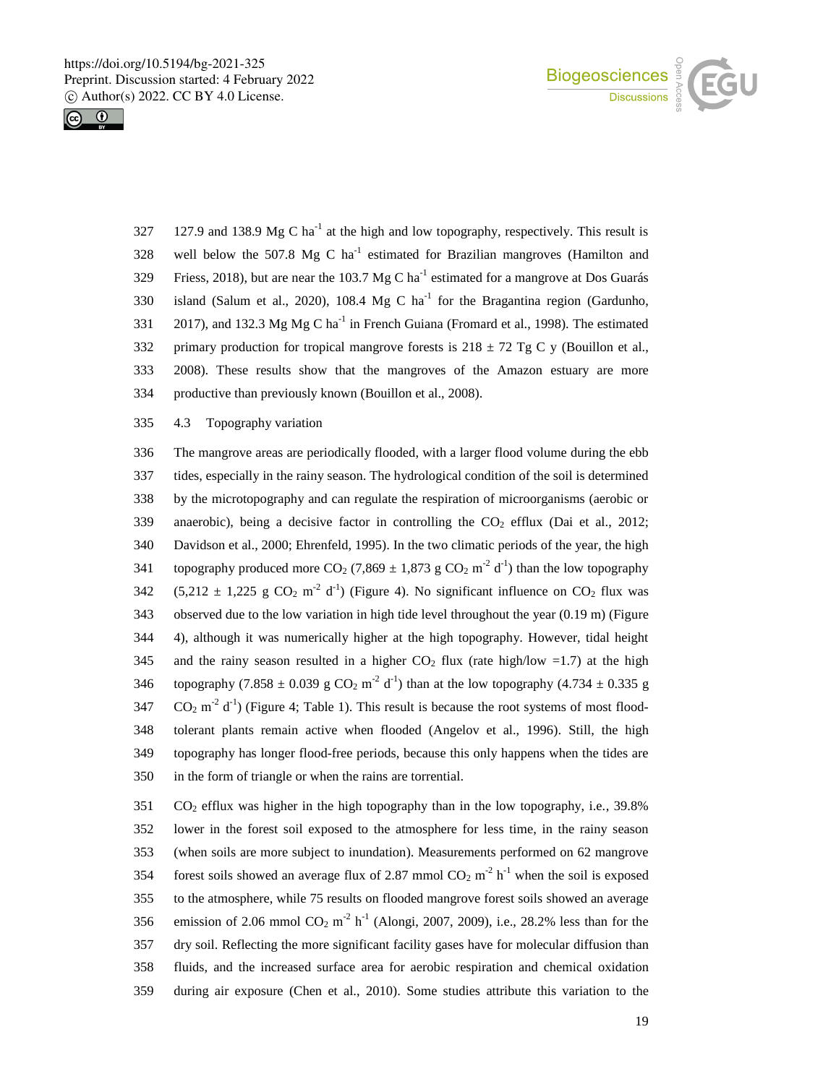



 $127.9$  and  $138.9 \text{ Mg C}$  ha<sup>-1</sup> at the high and low topography, respectively. This result is 328 well below the 507.8 Mg C  $ha^{-1}$  estimated for Brazilian mangroves (Hamilton and Friess, 2018), but are near the 103.7 Mg C ha<sup>-1</sup> estimated for a mangrove at Dos Guarás 330 island (Salum et al., 2020), 108.4 Mg C  $ha^{-1}$  for the Bragantina region (Gardunho, 2017), and 132.3 Mg Mg C ha<sup>-1</sup> in French Guiana (Fromard et al., 1998). The estimated 332 primary production for tropical mangrove forests is  $218 \pm 72$  Tg C y (Bouillon et al., 333 2008). These results show that the mangroves of the Amazon estuary are more 334 productive than previously known (Bouillon et al., 2008).

335 4.3 Topography variation

 The mangrove areas are periodically flooded, with a larger flood volume during the ebb tides, especially in the rainy season. The hydrological condition of the soil is determined by the microtopography and can regulate the respiration of microorganisms (aerobic or 339 anaerobic), being a decisive factor in controlling the  $CO<sub>2</sub>$  efflux (Dai et al., 2012; Davidson et al., 2000; Ehrenfeld, 1995). In the two climatic periods of the year, the high 341 topography produced more CO<sub>2</sub> (7,869  $\pm$  1,873 g CO<sub>2</sub> m<sup>-2</sup> d<sup>-1</sup>) than the low topography 342 (5,212  $\pm$  1,225 g CO<sub>2</sub> m<sup>-2</sup> d<sup>-1</sup>) (Figure 4). No significant influence on CO<sub>2</sub> flux was observed due to the low variation in high tide level throughout the year (0.19 m) (Figure 4), although it was numerically higher at the high topography. However, tidal height 345 and the rainy season resulted in a higher  $CO<sub>2</sub>$  flux (rate high/low =1.7) at the high 346 topography (7.858  $\pm$  0.039 g CO<sub>2</sub> m<sup>-2</sup> d<sup>-1</sup>) than at the low topography (4.734  $\pm$  0.335 g CO<sub>2</sub> m<sup>-2</sup> d<sup>-1</sup>) (Figure 4; Table 1). This result is because the root systems of most flood- tolerant plants remain active when flooded (Angelov et al., 1996). Still, the high topography has longer flood-free periods, because this only happens when the tides are in the form of triangle or when the rains are torrential.

 CO<sub>2</sub> efflux was higher in the high topography than in the low topography, i.e., 39.8% lower in the forest soil exposed to the atmosphere for less time, in the rainy season (when soils are more subject to inundation). Measurements performed on 62 mangrove 354 forest soils showed an average flux of 2.87 mmol  $CO_2$  m<sup>-2</sup> h<sup>-1</sup> when the soil is exposed to the atmosphere, while 75 results on flooded mangrove forest soils showed an average 356 emission of 2.06 mmol  $CO_2$  m<sup>-2</sup> h<sup>-1</sup> (Alongi, 2007, 2009), i.e., 28.2% less than for the dry soil. Reflecting the more significant facility gases have for molecular diffusion than fluids, and the increased surface area for aerobic respiration and chemical oxidation during air exposure (Chen et al., 2010). Some studies attribute this variation to the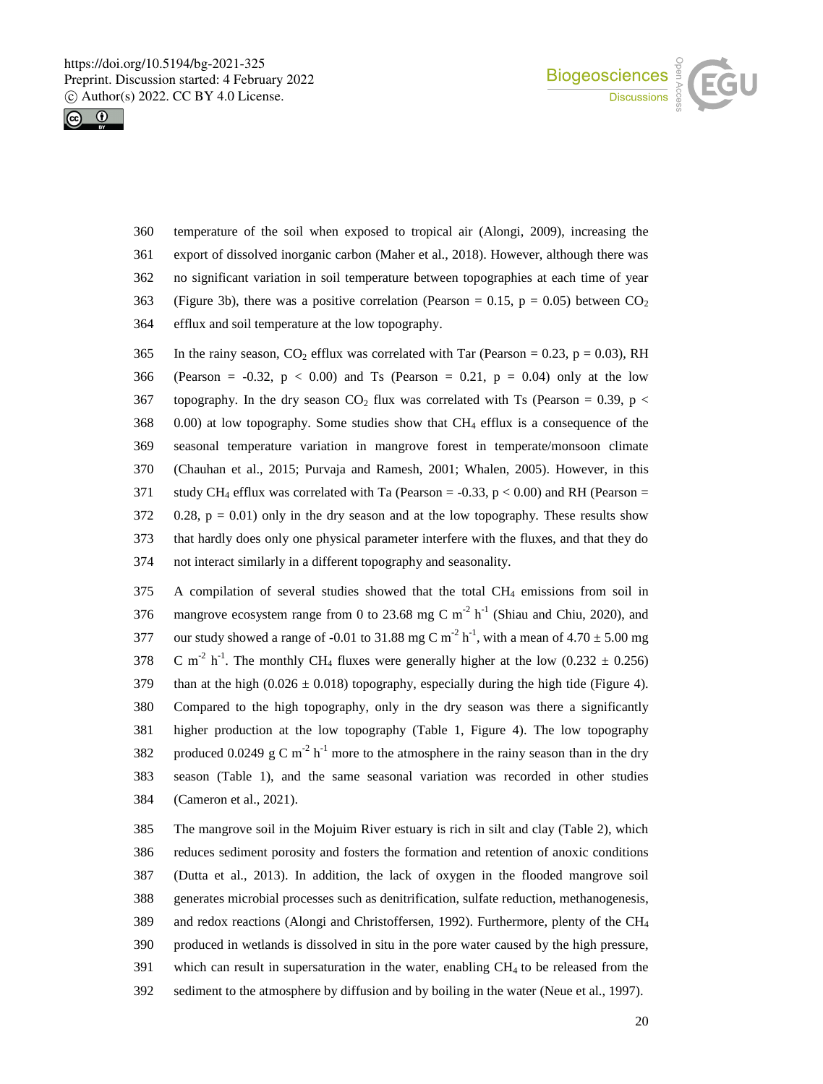



- temperature of the soil when exposed to tropical air (Alongi, 2009), increasing the export of dissolved inorganic carbon (Maher et al., 2018). However, although there was no significant variation in soil temperature between topographies at each time of year 363 (Figure 3b), there was a positive correlation (Pearson = 0.15,  $p = 0.05$ ) between  $CO<sub>2</sub>$ efflux and soil temperature at the low topography.
- 365 In the rainy season,  $CO<sub>2</sub>$  efflux was correlated with Tar (Pearson = 0.23, p = 0.03), RH 366 (Pearson = -0.32,  $p < 0.00$ ) and Ts (Pearson = 0.21,  $p = 0.04$ ) only at the low 367 topography. In the dry season  $CO<sub>2</sub>$  flux was correlated with Ts (Pearson = 0.39, p < 0.00) at low topography. Some studies show that CH<sup>4</sup> efflux is a consequence of the seasonal temperature variation in mangrove forest in temperate/monsoon climate (Chauhan et al., 2015; Purvaja and Ramesh, 2001; Whalen, 2005). However, in this 371 study CH<sub>4</sub> efflux was correlated with Ta (Pearson =  $-0.33$ , p < 0.00) and RH (Pearson = 0.28, p = 0.01) only in the dry season and at the low topography. These results show that hardly does only one physical parameter interfere with the fluxes, and that they do not interact similarly in a different topography and seasonality.

 A compilation of several studies showed that the total CH<sup>4</sup> emissions from soil in 376 mangrove ecosystem range from 0 to 23.68 mg C m<sup>-2</sup> h<sup>-1</sup> (Shiau and Chiu, 2020), and 377 our study showed a range of -0.01 to 31.88 mg C m<sup>-2</sup> h<sup>-1</sup>, with a mean of 4.70  $\pm$  5.00 mg 378 C m<sup>-2</sup> h<sup>-1</sup>. The monthly CH<sub>4</sub> fluxes were generally higher at the low (0.232  $\pm$  0.256) 379 than at the high  $(0.026 \pm 0.018)$  topography, especially during the high tide (Figure 4). Compared to the high topography, only in the dry season was there a significantly higher production at the low topography (Table 1, Figure 4). The low topography 382 produced 0.0249 g C m<sup>-2</sup> h<sup>-1</sup> more to the atmosphere in the rainy season than in the dry season (Table 1), and the same seasonal variation was recorded in other studies (Cameron et al., 2021).

 The mangrove soil in the Mojuim River estuary is rich in silt and clay (Table 2), which reduces sediment porosity and fosters the formation and retention of anoxic conditions (Dutta et al., 2013). In addition, the lack of oxygen in the flooded mangrove soil generates microbial processes such as denitrification, sulfate reduction, methanogenesis, and redox reactions (Alongi and Christoffersen, 1992). Furthermore, plenty of the CH<sup>4</sup> produced in wetlands is dissolved in situ in the pore water caused by the high pressure, which can result in supersaturation in the water, enabling CH<sup>4</sup> to be released from the sediment to the atmosphere by diffusion and by boiling in the water (Neue et al., 1997).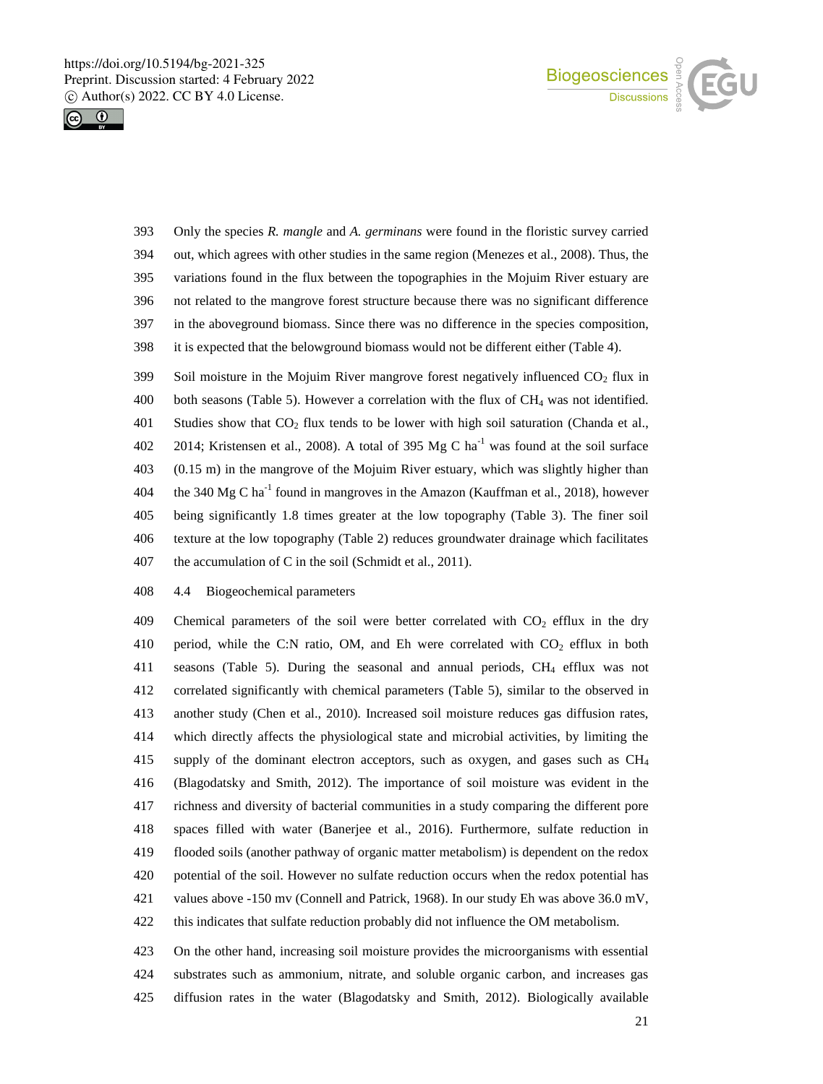



 Only the species *R. mangle* and *A. germinans* were found in the floristic survey carried out, which agrees with other studies in the same region (Menezes et al., 2008). Thus, the variations found in the flux between the topographies in the Mojuim River estuary are not related to the mangrove forest structure because there was no significant difference in the aboveground biomass. Since there was no difference in the species composition, it is expected that the belowground biomass would not be different either (Table 4).

399 Soil moisture in the Mojuim River mangrove forest negatively influenced  $CO<sub>2</sub>$  flux in both seasons (Table 5). However a correlation with the flux of CH<sup>4</sup> was not identified. 401 Studies show that  $CO<sub>2</sub>$  flux tends to be lower with high soil saturation (Chanda et al., 402 2014; Kristensen et al., 2008). A total of 395 Mg C ha<sup>-1</sup> was found at the soil surface (0.15 m) in the mangrove of the Mojuim River estuary, which was slightly higher than 404 the 340 Mg C ha<sup>-1</sup> found in mangroves in the Amazon (Kauffman et al., 2018), however being significantly 1.8 times greater at the low topography (Table 3). The finer soil texture at the low topography (Table 2) reduces groundwater drainage which facilitates 407 the accumulation of C in the soil (Schmidt et al., 2011).

4.4 Biogeochemical parameters

409 Chemical parameters of the soil were better correlated with  $CO<sub>2</sub>$  efflux in the dry 410 period, while the C:N ratio, OM, and Eh were correlated with  $CO<sub>2</sub>$  efflux in both seasons (Table 5). During the seasonal and annual periods, CH<sup>4</sup> efflux was not correlated significantly with chemical parameters (Table 5), similar to the observed in another study (Chen et al., 2010). Increased soil moisture reduces gas diffusion rates, which directly affects the physiological state and microbial activities, by limiting the supply of the dominant electron acceptors, such as oxygen, and gases such as CH<sup>4</sup> (Blagodatsky and Smith, 2012). The importance of soil moisture was evident in the richness and diversity of bacterial communities in a study comparing the different pore spaces filled with water (Banerjee et al., 2016). Furthermore, sulfate reduction in flooded soils (another pathway of organic matter metabolism) is dependent on the redox potential of the soil. However no sulfate reduction occurs when the redox potential has values above -150 mv (Connell and Patrick, 1968). In our study Eh was above 36.0 mV, this indicates that sulfate reduction probably did not influence the OM metabolism.

 On the other hand, increasing soil moisture provides the microorganisms with essential substrates such as ammonium, nitrate, and soluble organic carbon, and increases gas diffusion rates in the water (Blagodatsky and Smith, 2012). Biologically available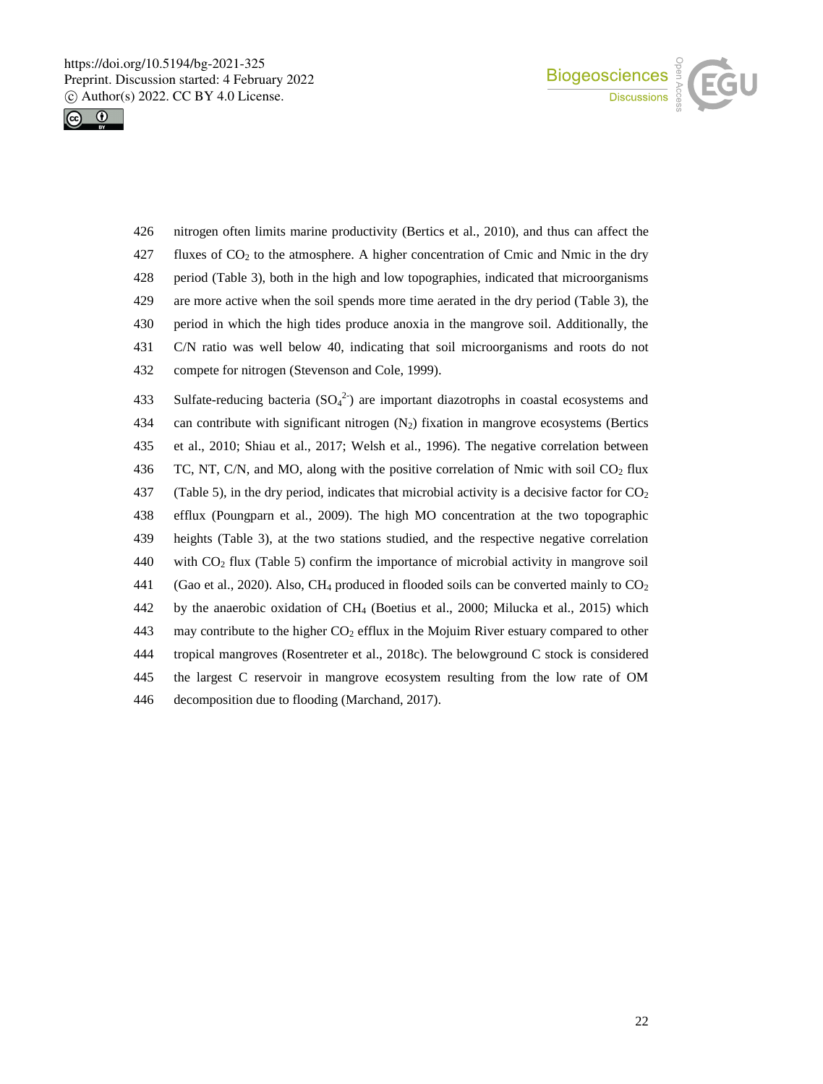



 nitrogen often limits marine productivity (Bertics et al., 2010), and thus can affect the 427 fluxes of  $CO<sub>2</sub>$  to the atmosphere. A higher concentration of Cmic and Nmic in the dry period (Table 3), both in the high and low topographies, indicated that microorganisms are more active when the soil spends more time aerated in the dry period (Table 3), the period in which the high tides produce anoxia in the mangrove soil. Additionally, the C/N ratio was well below 40, indicating that soil microorganisms and roots do not compete for nitrogen (Stevenson and Cole, 1999).

433 Sulfate-reducing bacteria  $(SO<sub>4</sub><sup>2</sup>)$  are important diazotrophs in coastal ecosystems and 434 can contribute with significant nitrogen  $(N_2)$  fixation in mangrove ecosystems (Bertics 435 et al., 2010; Shiau et al., 2017; Welsh et al., 1996). The negative correlation between 436 TC, NT, C/N, and MO, along with the positive correlation of Nmic with soil CO<sub>2</sub> flux 437 (Table 5), in the dry period, indicates that microbial activity is a decisive factor for  $CO<sub>2</sub>$ 438 efflux (Poungparn et al., 2009). The high MO concentration at the two topographic 439 heights (Table 3), at the two stations studied, and the respective negative correlation 440 with  $CO<sub>2</sub>$  flux (Table 5) confirm the importance of microbial activity in mangrove soil 441 (Gao et al., 2020). Also, CH<sub>4</sub> produced in flooded soils can be converted mainly to  $CO<sub>2</sub>$ 442 by the anaerobic oxidation of CH<sup>4</sup> (Boetius et al., 2000; Milucka et al., 2015) which 443 may contribute to the higher  $CO<sub>2</sub>$  efflux in the Mojuim River estuary compared to other 444 tropical mangroves (Rosentreter et al., 2018c). The belowground C stock is considered 445 the largest C reservoir in mangrove ecosystem resulting from the low rate of OM 446 decomposition due to flooding (Marchand, 2017).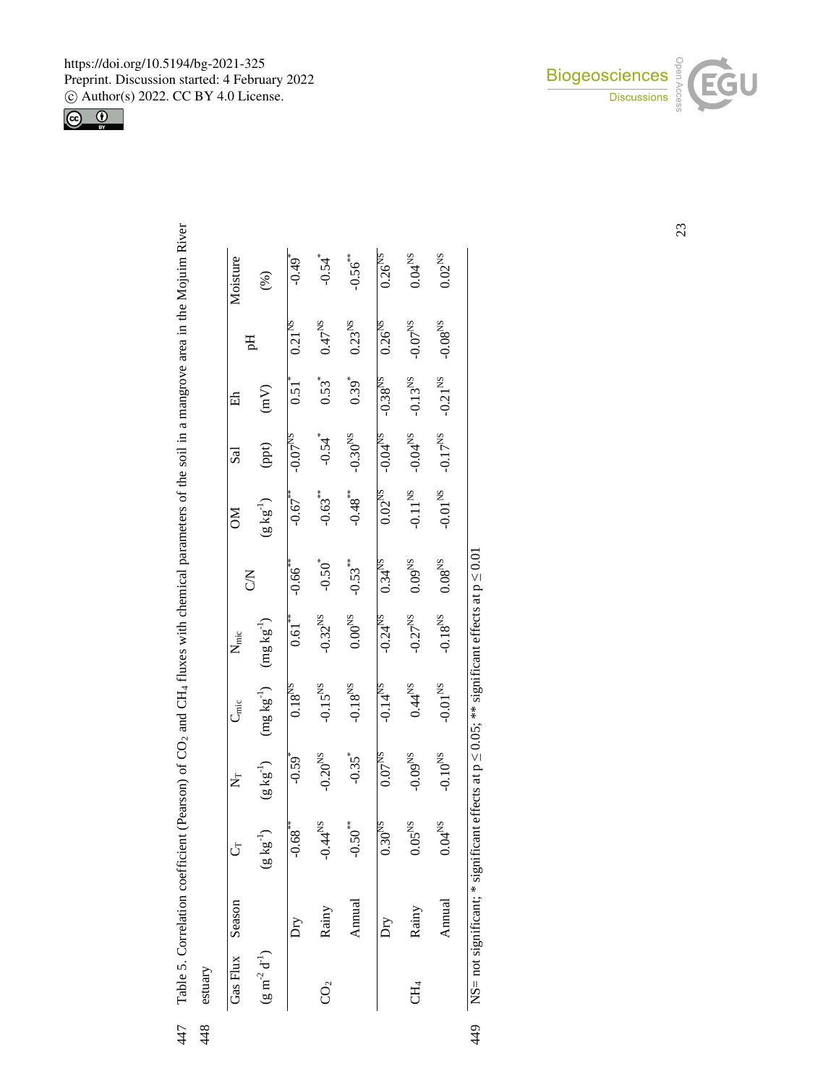

| Gas Flux        | Season | ڻ                             | Ź                     | ים<br>לז             | $\mathbf{N}_{\text{mic}}$ |                        | కె                    | Sal                   | 嵒                     |                      | Moisture              |
|-----------------|--------|-------------------------------|-----------------------|----------------------|---------------------------|------------------------|-----------------------|-----------------------|-----------------------|----------------------|-----------------------|
| $(g m^2 d^1)$   |        | $(g kg^{-1})$                 | $(g kg^{-1})$         | $(mg kg^{-1})$       | $(\rm{mg}\,kg^{-1})$      | <b>NO</b>              | $(g\,kg^{-1})$        | (ppt)                 | (mV)                  | Eq                   | (%)                   |
|                 | Ďгv    | $-0.68$ **                    | $-0.59$ <sup>*</sup>  | $0.18^{NS}$          | 0.61                      | $-0.66$ <sup>***</sup> | $-0.67$               | $-0.07^{NS}$          | $0.51$ <sup>*</sup>   | 0.21 <sup>NS</sup>   | $64.0 -$              |
| CO <sub>2</sub> | Rainy  | $4^{\rm NS}$<br>$\frac{4}{3}$ | $-0.20$ <sup>NS</sup> | $-0.15^{NS}$         | $-0.32^{NS}$              | $-0.50$ <sup>*</sup>   | $-0.63***$            | $-0.54$ <sup>*</sup>  | $0.53*$               | $0.47^{NS}$          | $-0.54$ <sup>*</sup>  |
|                 | Annual | $-0.50$ <sup>**</sup>         | $-0.35$ <sup>*</sup>  | $-0.18^{NS}$         | $0.00^{NS}$               | $-0.53***$             | $-0.48$ <sup>**</sup> | $-0.30$ <sup>NS</sup> | $0.39^{*}$            | $0.23^{NS}$          | $-0.56$ <sup>**</sup> |
|                 | Dry    | $0.30$ <sup>NS</sup>          | 0.07 <sup>NS</sup>    | $-0.14^{NS}$         | $-0.24^{NS}$              | $0.34^{NS}$            | $0.02^{NS}$           | $-0.04^{NS}$          | $-0.38^{NS}$          | $0.26$ <sup>NS</sup> | $0.26$ <sup>NS</sup>  |
| Ę               | Rainy  | $05^{\rm NS}$                 | $-0.09^{NS}$          | $0.44$ <sup>NS</sup> | $-0.27$ <sup>NS</sup>     | $0.09^{NS}$            | $-0.11^{NS}$          | $-0.04^{NS}$          | $-0.13$ <sup>NS</sup> | $-0.07$ $^{\rm SN}$  | $0.04^{\rm NS}$       |
|                 | Annual | $0.04^{NS}$                   | $-0.10^{NS}$          | $-0.01$ $^{\rm NS}$  | $-0.18^{NS}$              | $0.08^{\rm NS}$        | $-0.01$ $\rm _{NS}$   | $-0.17$ <sup>NS</sup> | $-0.21^{NS}$          | $-0.08^{NS}$         | $0.02^{NS}$           |

449



23

447 Table 5. Correlation coefficient (Pearson) of CO<sub>2</sub> and CH<sub>4</sub> fluxes with chemical parameters of the soil in a mangrove area in the Mojuim River 447 448

Table 5. Correlation coefficient (Pearson) of CO<sub>2</sub> and CH<sub>4</sub> fluxes with chemical parameters of the soil in a mangrove area in the Mojuim River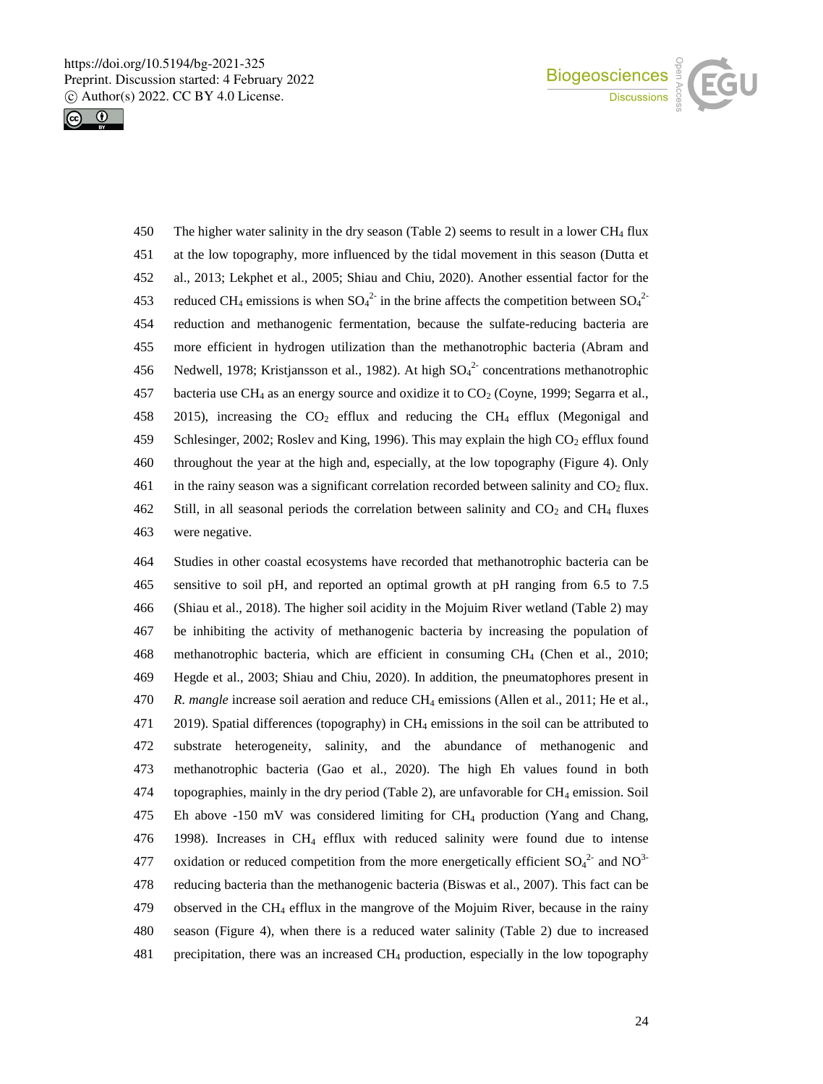



 The higher water salinity in the dry season (Table 2) seems to result in a lower CH<sup>4</sup> flux at the low topography, more influenced by the tidal movement in this season (Dutta et al., 2013; Lekphet et al., 2005; Shiau and Chiu, 2020). Another essential factor for the 453 reduced CH<sub>4</sub> emissions is when  $SO_4^2$  in the brine affects the competition between  $SO_4^2$  reduction and methanogenic fermentation, because the sulfate-reducing bacteria are more efficient in hydrogen utilization than the methanotrophic bacteria (Abram and 456 Nedwell, 1978; Kristjansson et al., 1982). At high  $SO_4^2$  concentrations methanotrophic 457 bacteria use CH<sub>4</sub> as an energy source and oxidize it to  $CO<sub>2</sub>$  (Coyne, 1999; Segarra et al., 458 2015), increasing the  $CO<sub>2</sub>$  efflux and reducing the CH<sub>4</sub> efflux (Megonigal and 459 Schlesinger, 2002; Roslev and King, 1996). This may explain the high CO<sub>2</sub> efflux found throughout the year at the high and, especially, at the low topography (Figure 4). Only 461 in the rainy season was a significant correlation recorded between salinity and  $CO<sub>2</sub>$  flux. 462 Still, in all seasonal periods the correlation between salinity and  $CO<sub>2</sub>$  and  $CH<sub>4</sub>$  fluxes were negative.

 Studies in other coastal ecosystems have recorded that methanotrophic bacteria can be sensitive to soil pH, and reported an optimal growth at pH ranging from 6.5 to 7.5 (Shiau et al., 2018). The higher soil acidity in the Mojuim River wetland (Table 2) may be inhibiting the activity of methanogenic bacteria by increasing the population of methanotrophic bacteria, which are efficient in consuming CH<sup>4</sup> (Chen et al., 2010; Hegde et al., 2003; Shiau and Chiu, 2020). In addition, the pneumatophores present in *R. mangle* increase soil aeration and reduce CH<sub>4</sub> emissions (Allen et al., 2011; He et al., 2019). Spatial differences (topography) in CH<sup>4</sup> emissions in the soil can be attributed to substrate heterogeneity, salinity, and the abundance of methanogenic and methanotrophic bacteria (Gao et al., 2020). The high Eh values found in both 474 topographies, mainly in the dry period (Table 2), are unfavorable for  $CH_4$  emission. Soil Eh above -150 mV was considered limiting for CH<sup>4</sup> production (Yang and Chang, 1998). Increases in CH<sup>4</sup> efflux with reduced salinity were found due to intense 477 oxidation or reduced competition from the more energetically efficient  $SO_4^2$  and  $NO^3$  reducing bacteria than the methanogenic bacteria (Biswas et al., 2007). This fact can be 479 observed in the CH<sub>4</sub> efflux in the mangrove of the Mojuim River, because in the rainy season (Figure 4), when there is a reduced water salinity (Table 2) due to increased precipitation, there was an increased CH<sup>4</sup> production, especially in the low topography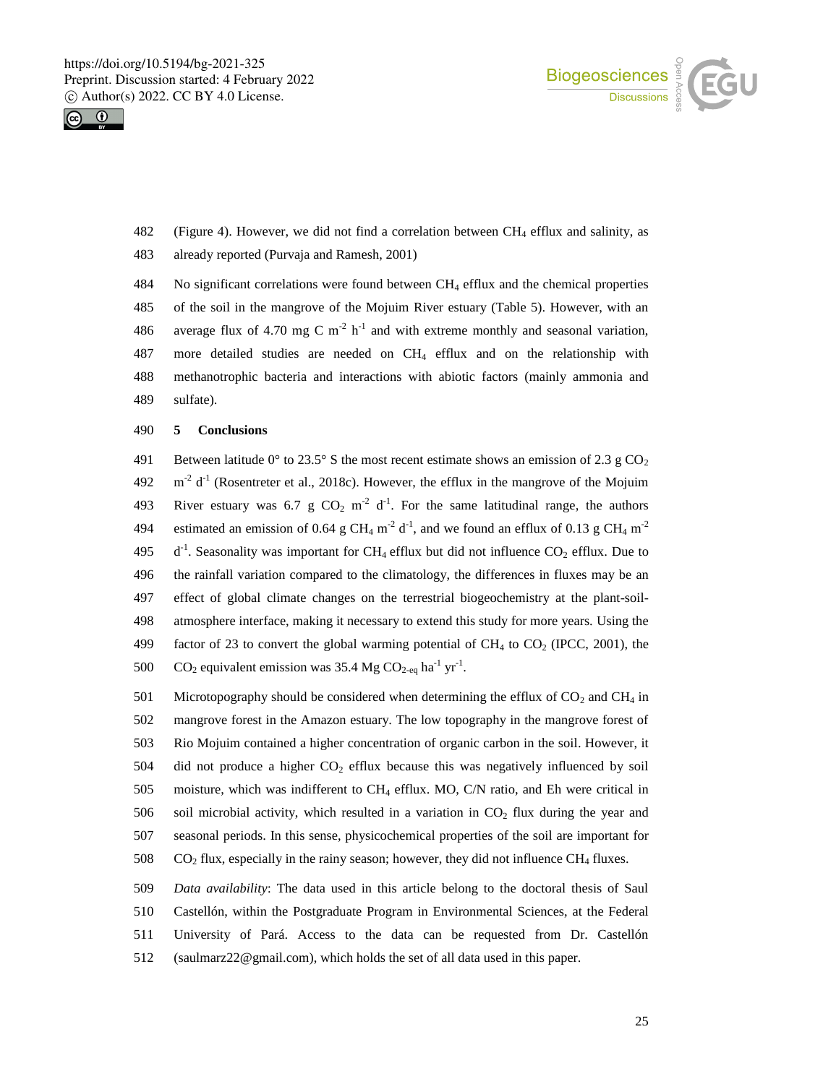



- 482 (Figure 4). However, we did not find a correlation between CH<sup>4</sup> efflux and salinity, as 483 already reported (Purvaja and Ramesh, 2001)
- 484 No significant correlations were found between CH<sup>4</sup> efflux and the chemical properties 485 of the soil in the mangrove of the Mojuim River estuary (Table 5). However, with an 486 average flux of 4.70 mg C m<sup>-2</sup> h<sup>-1</sup> and with extreme monthly and seasonal variation, 487 more detailed studies are needed on CH<sup>4</sup> efflux and on the relationship with 488 methanotrophic bacteria and interactions with abiotic factors (mainly ammonia and 489 sulfate).

### 490 **5 Conclusions**

491 Between latitude  $0^{\circ}$  to 23.5° S the most recent estimate shows an emission of 2.3 g CO<sub>2</sub>  $492 \text{ m}^2$  d<sup>-1</sup> (Rosentreter et al., 2018c). However, the efflux in the mangrove of the Mojuim 493 River estuary was 6.7 g  $CO_2$  m<sup>-2</sup> d<sup>-1</sup>. For the same latitudinal range, the authors 494 estimated an emission of 0.64 g CH<sub>4</sub> m<sup>-2</sup> d<sup>-1</sup>, and we found an efflux of 0.13 g CH<sub>4</sub> m<sup>-2</sup> 495  $d^{-1}$ . Seasonality was important for CH<sub>4</sub> efflux but did not influence CO<sub>2</sub> efflux. Due to 496 the rainfall variation compared to the climatology, the differences in fluxes may be an 497 effect of global climate changes on the terrestrial biogeochemistry at the plant-soil-498 atmosphere interface, making it necessary to extend this study for more years. Using the 499 factor of 23 to convert the global warming potential of  $CH_4$  to  $CO_2$  (IPCC, 2001), the 500 CO<sub>2</sub> equivalent emission was 35.4 Mg CO<sub>2-eq</sub> ha<sup>-1</sup> yr<sup>-1</sup>.

501 Microtopography should be considered when determining the efflux of  $CO<sub>2</sub>$  and  $CH<sub>4</sub>$  in mangrove forest in the Amazon estuary. The low topography in the mangrove forest of Rio Mojuim contained a higher concentration of organic carbon in the soil. However, it 504 did not produce a higher  $CO<sub>2</sub>$  efflux because this was negatively influenced by soil moisture, which was indifferent to CH<sup>4</sup> efflux. MO, C/N ratio, and Eh were critical in 506 soil microbial activity, which resulted in a variation in  $CO<sub>2</sub>$  flux during the year and seasonal periods. In this sense, physicochemical properties of the soil are important for CO<sub>2</sub> flux, especially in the rainy season; however, they did not influence CH<sub>4</sub> fluxes.

 *Data availability*: The data used in this article belong to the doctoral thesis of Saul Castellón, within the Postgraduate Program in Environmental Sciences, at the Federal University of Pará. Access to the data can be requested from Dr. Castellón (saulmarz22@gmail.com), which holds the set of all data used in this paper.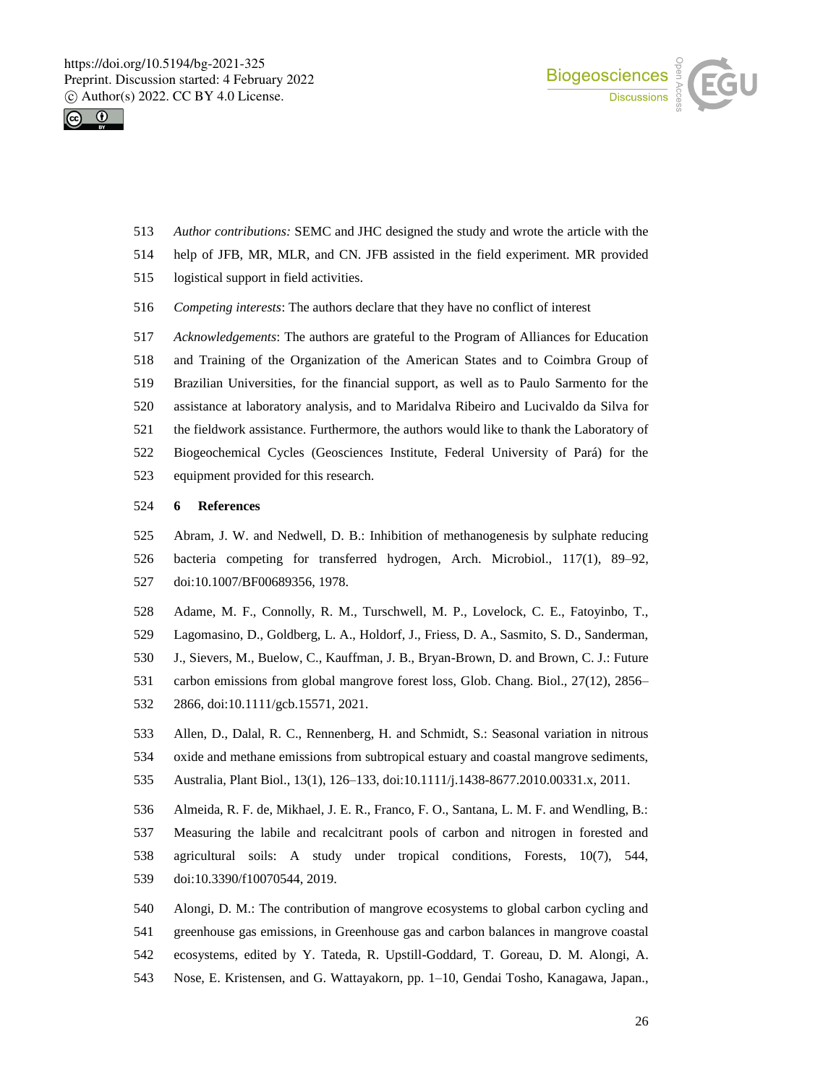



- *Author contributions:* SEMC and JHC designed the study and wrote the article with the
- help of JFB, MR, MLR, and CN. JFB assisted in the field experiment. MR provided
- logistical support in field activities.
- *Competing interests*: The authors declare that they have no conflict of interest
- *Acknowledgements*: The authors are grateful to the Program of Alliances for Education
- and Training of the Organization of the American States and to Coimbra Group of
- Brazilian Universities, for the financial support, as well as to Paulo Sarmento for the
- assistance at laboratory analysis, and to Maridalva Ribeiro and Lucivaldo da Silva for
- the fieldwork assistance. Furthermore, the authors would like to thank the Laboratory of
- Biogeochemical Cycles (Geosciences Institute, Federal University of Pará) for the
- equipment provided for this research.

## **6 References**

- Abram, J. W. and Nedwell, D. B.: Inhibition of methanogenesis by sulphate reducing bacteria competing for transferred hydrogen, Arch. Microbiol., 117(1), 89–92, doi:10.1007/BF00689356, 1978.
- Adame, M. F., Connolly, R. M., Turschwell, M. P., Lovelock, C. E., Fatoyinbo, T.,
- Lagomasino, D., Goldberg, L. A., Holdorf, J., Friess, D. A., Sasmito, S. D., Sanderman,
- J., Sievers, M., Buelow, C., Kauffman, J. B., Bryan-Brown, D. and Brown, C. J.: Future
- carbon emissions from global mangrove forest loss, Glob. Chang. Biol., 27(12), 2856–
- 2866, doi:10.1111/gcb.15571, 2021.
- Allen, D., Dalal, R. C., Rennenberg, H. and Schmidt, S.: Seasonal variation in nitrous oxide and methane emissions from subtropical estuary and coastal mangrove sediments,
- Australia, Plant Biol., 13(1), 126–133, doi:10.1111/j.1438-8677.2010.00331.x, 2011.
- Almeida, R. F. de, Mikhael, J. E. R., Franco, F. O., Santana, L. M. F. and Wendling, B.:
- Measuring the labile and recalcitrant pools of carbon and nitrogen in forested and
- agricultural soils: A study under tropical conditions, Forests, 10(7), 544,
- doi:10.3390/f10070544, 2019.
- Alongi, D. M.: The contribution of mangrove ecosystems to global carbon cycling and
- greenhouse gas emissions, in Greenhouse gas and carbon balances in mangrove coastal
- ecosystems, edited by Y. Tateda, R. Upstill-Goddard, T. Goreau, D. M. Alongi, A.
- Nose, E. Kristensen, and G. Wattayakorn, pp. 1–10, Gendai Tosho, Kanagawa, Japan.,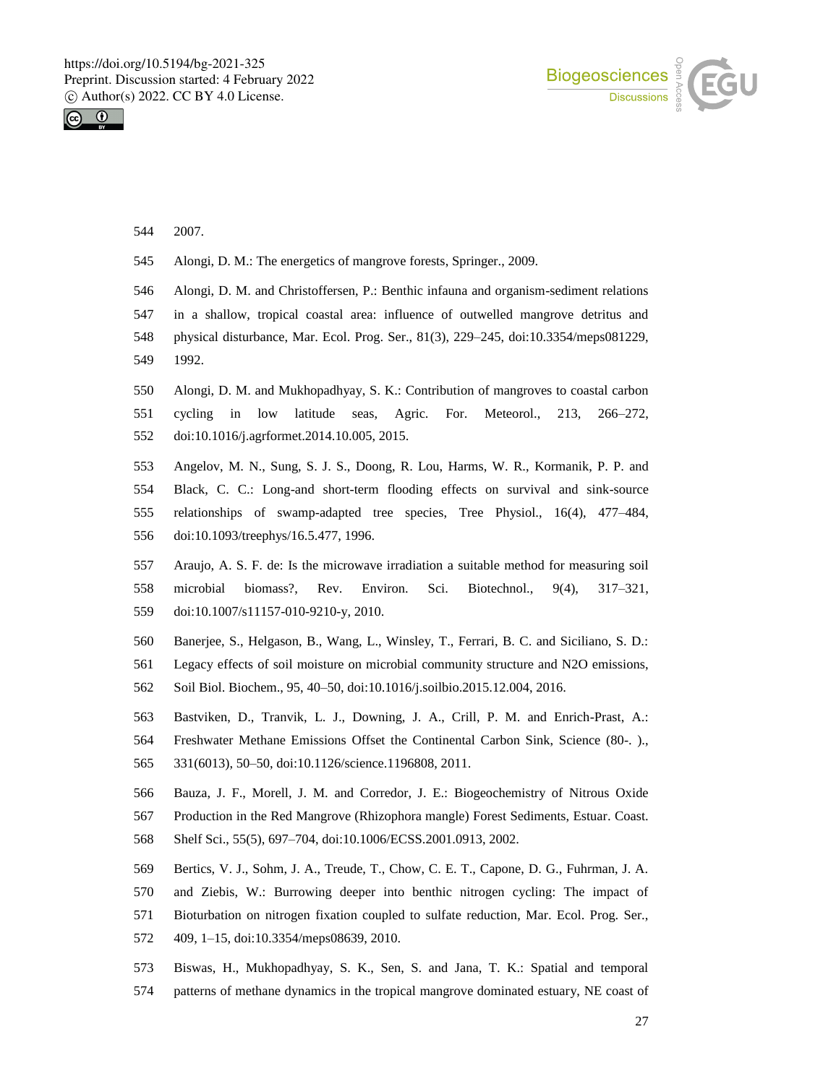



- 2007.
- Alongi, D. M.: The energetics of mangrove forests, Springer., 2009.
- Alongi, D. M. and Christoffersen, P.: Benthic infauna and organism-sediment relations
- in a shallow, tropical coastal area: influence of outwelled mangrove detritus and
- physical disturbance, Mar. Ecol. Prog. Ser., 81(3), 229–245, doi:10.3354/meps081229,
- 1992.
- Alongi, D. M. and Mukhopadhyay, S. K.: Contribution of mangroves to coastal carbon cycling in low latitude seas, Agric. For. Meteorol., 213, 266–272,
- doi:10.1016/j.agrformet.2014.10.005, 2015.
- Angelov, M. N., Sung, S. J. S., Doong, R. Lou, Harms, W. R., Kormanik, P. P. and Black, C. C.: Long-and short-term flooding effects on survival and sink-source relationships of swamp-adapted tree species, Tree Physiol., 16(4), 477–484, doi:10.1093/treephys/16.5.477, 1996.
- Araujo, A. S. F. de: Is the microwave irradiation a suitable method for measuring soil microbial biomass?, Rev. Environ. Sci. Biotechnol., 9(4), 317–321, doi:10.1007/s11157-010-9210-y, 2010.
- Banerjee, S., Helgason, B., Wang, L., Winsley, T., Ferrari, B. C. and Siciliano, S. D.:
- Legacy effects of soil moisture on microbial community structure and N2O emissions, Soil Biol. Biochem., 95, 40–50, doi:10.1016/j.soilbio.2015.12.004, 2016.
- Bastviken, D., Tranvik, L. J., Downing, J. A., Crill, P. M. and Enrich-Prast, A.:
- Freshwater Methane Emissions Offset the Continental Carbon Sink, Science (80-. )., 331(6013), 50–50, doi:10.1126/science.1196808, 2011.
- Bauza, J. F., Morell, J. M. and Corredor, J. E.: Biogeochemistry of Nitrous Oxide Production in the Red Mangrove (Rhizophora mangle) Forest Sediments, Estuar. Coast.
- Shelf Sci., 55(5), 697–704, doi:10.1006/ECSS.2001.0913, 2002.
- Bertics, V. J., Sohm, J. A., Treude, T., Chow, C. E. T., Capone, D. G., Fuhrman, J. A.
- and Ziebis, W.: Burrowing deeper into benthic nitrogen cycling: The impact of
- Bioturbation on nitrogen fixation coupled to sulfate reduction, Mar. Ecol. Prog. Ser.,
- 409, 1–15, doi:10.3354/meps08639, 2010.
- Biswas, H., Mukhopadhyay, S. K., Sen, S. and Jana, T. K.: Spatial and temporal
- patterns of methane dynamics in the tropical mangrove dominated estuary, NE coast of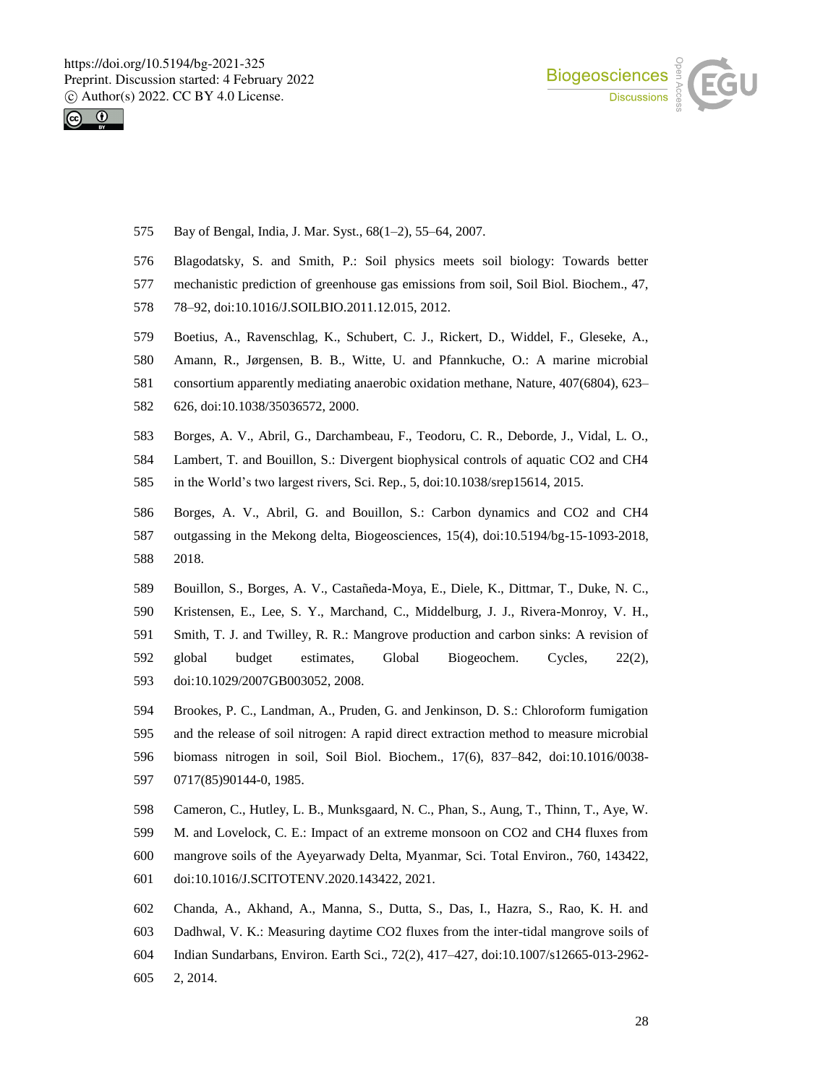



- Bay of Bengal, India, J. Mar. Syst., 68(1–2), 55–64, 2007.
- Blagodatsky, S. and Smith, P.: Soil physics meets soil biology: Towards better
- mechanistic prediction of greenhouse gas emissions from soil, Soil Biol. Biochem., 47,
- 78–92, doi:10.1016/J.SOILBIO.2011.12.015, 2012.
- Boetius, A., Ravenschlag, K., Schubert, C. J., Rickert, D., Widdel, F., Gleseke, A.,
- Amann, R., Jørgensen, B. B., Witte, U. and Pfannkuche, O.: A marine microbial
- consortium apparently mediating anaerobic oxidation methane, Nature, 407(6804), 623–
- 626, doi:10.1038/35036572, 2000.
- Borges, A. V., Abril, G., Darchambeau, F., Teodoru, C. R., Deborde, J., Vidal, L. O.,
- Lambert, T. and Bouillon, S.: Divergent biophysical controls of aquatic CO2 and CH4
- in the World's two largest rivers, Sci. Rep., 5, doi:10.1038/srep15614, 2015.
- Borges, A. V., Abril, G. and Bouillon, S.: Carbon dynamics and CO2 and CH4 outgassing in the Mekong delta, Biogeosciences, 15(4), doi:10.5194/bg-15-1093-2018, 2018.
- Bouillon, S., Borges, A. V., Castañeda-Moya, E., Diele, K., Dittmar, T., Duke, N. C.,
- Kristensen, E., Lee, S. Y., Marchand, C., Middelburg, J. J., Rivera-Monroy, V. H.,
- Smith, T. J. and Twilley, R. R.: Mangrove production and carbon sinks: A revision of
- global budget estimates, Global Biogeochem. Cycles, 22(2), doi:10.1029/2007GB003052, 2008.
- Brookes, P. C., Landman, A., Pruden, G. and Jenkinson, D. S.: Chloroform fumigation and the release of soil nitrogen: A rapid direct extraction method to measure microbial biomass nitrogen in soil, Soil Biol. Biochem., 17(6), 837–842, doi:10.1016/0038- 0717(85)90144-0, 1985.
- Cameron, C., Hutley, L. B., Munksgaard, N. C., Phan, S., Aung, T., Thinn, T., Aye, W.
- M. and Lovelock, C. E.: Impact of an extreme monsoon on CO2 and CH4 fluxes from
- mangrove soils of the Ayeyarwady Delta, Myanmar, Sci. Total Environ., 760, 143422,
- doi:10.1016/J.SCITOTENV.2020.143422, 2021.
- Chanda, A., Akhand, A., Manna, S., Dutta, S., Das, I., Hazra, S., Rao, K. H. and Dadhwal, V. K.: Measuring daytime CO2 fluxes from the inter-tidal mangrove soils of Indian Sundarbans, Environ. Earth Sci., 72(2), 417–427, doi:10.1007/s12665-013-2962-
- 2, 2014.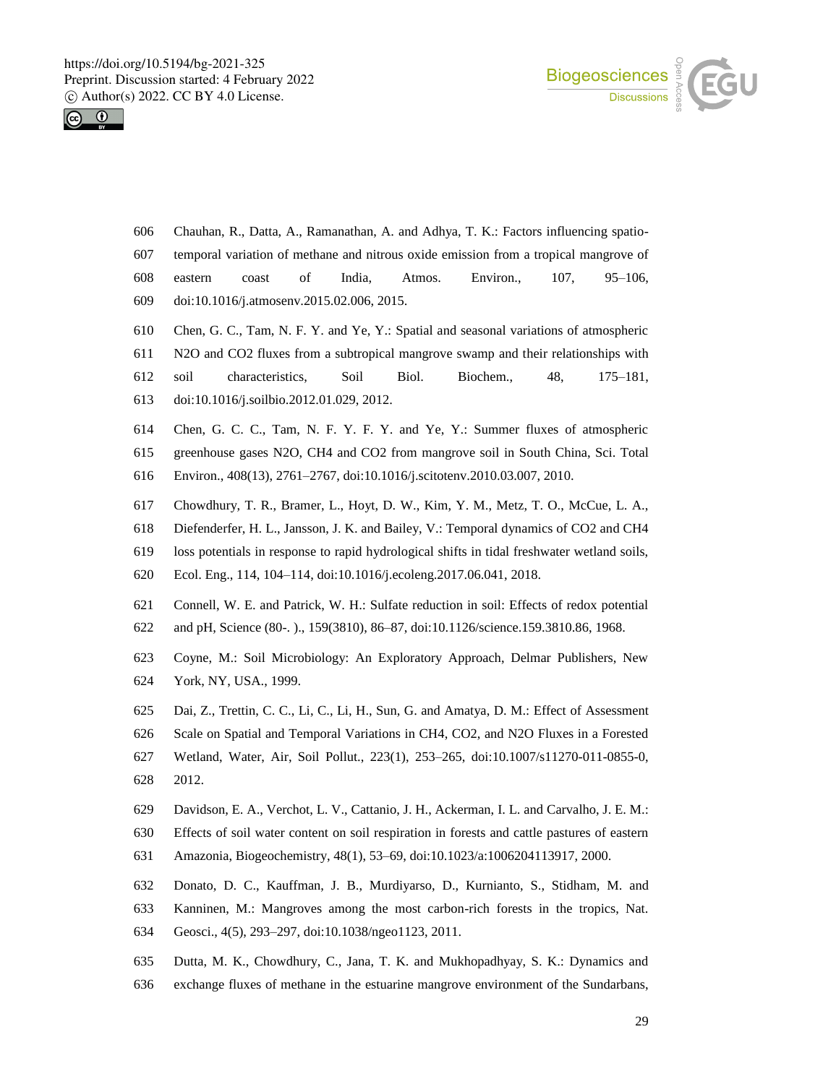



- Chauhan, R., Datta, A., Ramanathan, A. and Adhya, T. K.: Factors influencing spatio-
- temporal variation of methane and nitrous oxide emission from a tropical mangrove of
- eastern coast of India, Atmos. Environ., 107, 95–106, doi:10.1016/j.atmosenv.2015.02.006, 2015.
- Chen, G. C., Tam, N. F. Y. and Ye, Y.: Spatial and seasonal variations of atmospheric
- N2O and CO2 fluxes from a subtropical mangrove swamp and their relationships with
- soil characteristics, Soil Biol. Biochem., 48, 175–181,
- doi:10.1016/j.soilbio.2012.01.029, 2012.
- Chen, G. C. C., Tam, N. F. Y. F. Y. and Ye, Y.: Summer fluxes of atmospheric
- greenhouse gases N2O, CH4 and CO2 from mangrove soil in South China, Sci. Total
- Environ., 408(13), 2761–2767, doi:10.1016/j.scitotenv.2010.03.007, 2010.
- Chowdhury, T. R., Bramer, L., Hoyt, D. W., Kim, Y. M., Metz, T. O., McCue, L. A.,
- Diefenderfer, H. L., Jansson, J. K. and Bailey, V.: Temporal dynamics of CO2 and CH4
- loss potentials in response to rapid hydrological shifts in tidal freshwater wetland soils,
- Ecol. Eng., 114, 104–114, doi:10.1016/j.ecoleng.2017.06.041, 2018.
- Connell, W. E. and Patrick, W. H.: Sulfate reduction in soil: Effects of redox potential
- and pH, Science (80-. )., 159(3810), 86–87, doi:10.1126/science.159.3810.86, 1968.
- Coyne, M.: Soil Microbiology: An Exploratory Approach, Delmar Publishers, New York, NY, USA., 1999.
- Dai, Z., Trettin, C. C., Li, C., Li, H., Sun, G. and Amatya, D. M.: Effect of Assessment
- Scale on Spatial and Temporal Variations in CH4, CO2, and N2O Fluxes in a Forested
- Wetland, Water, Air, Soil Pollut., 223(1), 253–265, doi:10.1007/s11270-011-0855-0,
- 2012.
- Davidson, E. A., Verchot, L. V., Cattanio, J. H., Ackerman, I. L. and Carvalho, J. E. M.:
- Effects of soil water content on soil respiration in forests and cattle pastures of eastern
- Amazonia, Biogeochemistry, 48(1), 53–69, doi:10.1023/a:1006204113917, 2000.
- Donato, D. C., Kauffman, J. B., Murdiyarso, D., Kurnianto, S., Stidham, M. and
- Kanninen, M.: Mangroves among the most carbon-rich forests in the tropics, Nat.
- Geosci., 4(5), 293–297, doi:10.1038/ngeo1123, 2011.
- Dutta, M. K., Chowdhury, C., Jana, T. K. and Mukhopadhyay, S. K.: Dynamics and
- exchange fluxes of methane in the estuarine mangrove environment of the Sundarbans,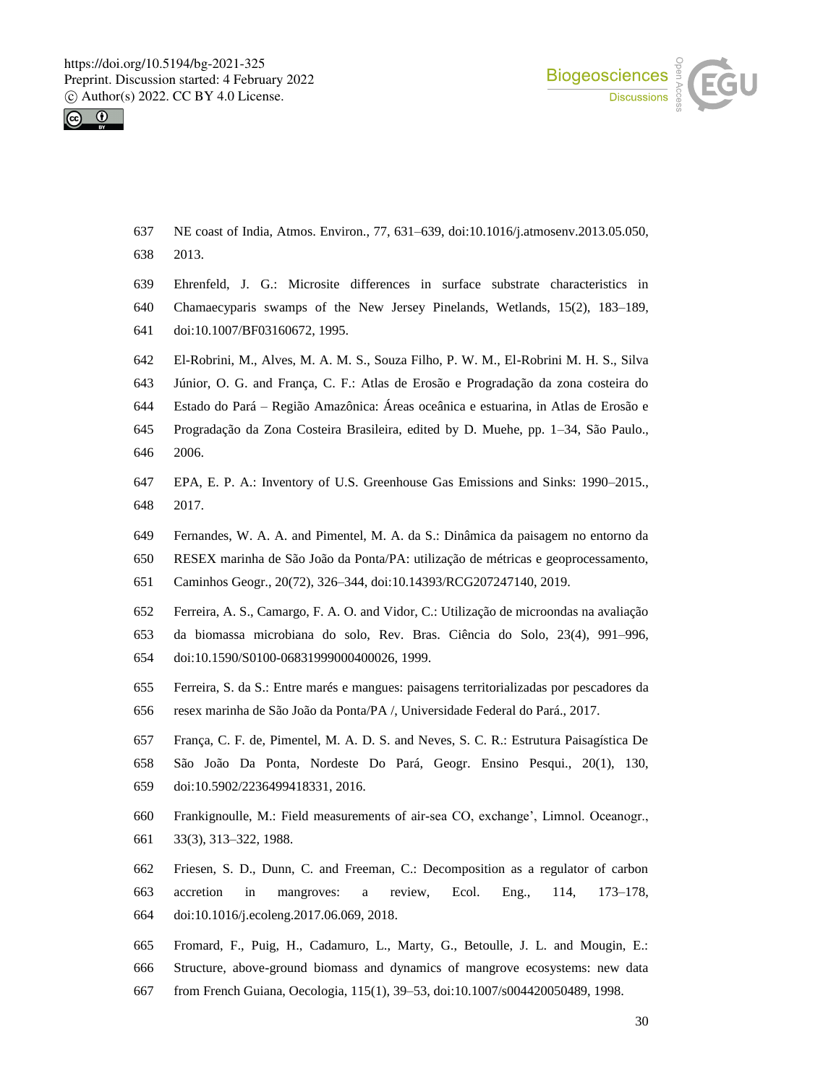



- NE coast of India, Atmos. Environ., 77, 631–639, doi:10.1016/j.atmosenv.2013.05.050, 2013.
- Ehrenfeld, J. G.: Microsite differences in surface substrate characteristics in
- Chamaecyparis swamps of the New Jersey Pinelands, Wetlands, 15(2), 183–189, doi:10.1007/BF03160672, 1995.
- El-Robrini, M., Alves, M. A. M. S., Souza Filho, P. W. M., El-Robrini M. H. S., Silva
- Júnior, O. G. and França, C. F.: Atlas de Erosão e Progradação da zona costeira do
- Estado do Pará Região Amazônica: Áreas oceânica e estuarina, in Atlas de Erosão e
- Progradação da Zona Costeira Brasileira, edited by D. Muehe, pp. 1–34, São Paulo., 2006.
- EPA, E. P. A.: Inventory of U.S. Greenhouse Gas Emissions and Sinks: 1990–2015., 2017.
- Fernandes, W. A. A. and Pimentel, M. A. da S.: Dinâmica da paisagem no entorno da
- RESEX marinha de São João da Ponta/PA: utilização de métricas e geoprocessamento,
- Caminhos Geogr., 20(72), 326–344, doi:10.14393/RCG207247140, 2019.
- Ferreira, A. S., Camargo, F. A. O. and Vidor, C.: Utilização de microondas na avaliação
- da biomassa microbiana do solo, Rev. Bras. Ciência do Solo, 23(4), 991–996,
- doi:10.1590/S0100-06831999000400026, 1999.
- Ferreira, S. da S.: Entre marés e mangues: paisagens territorializadas por pescadores da
- resex marinha de São João da Ponta/PA /, Universidade Federal do Pará., 2017.
- França, C. F. de, Pimentel, M. A. D. S. and Neves, S. C. R.: Estrutura Paisagística De
- São João Da Ponta, Nordeste Do Pará, Geogr. Ensino Pesqui., 20(1), 130,
- doi:10.5902/2236499418331, 2016.
- Frankignoulle, M.: Field measurements of air-sea CO, exchange', Limnol. Oceanogr., 33(3), 313–322, 1988.
- Friesen, S. D., Dunn, C. and Freeman, C.: Decomposition as a regulator of carbon accretion in mangroves: a review, Ecol. Eng., 114, 173–178, doi:10.1016/j.ecoleng.2017.06.069, 2018.
- Fromard, F., Puig, H., Cadamuro, L., Marty, G., Betoulle, J. L. and Mougin, E.:
- Structure, above-ground biomass and dynamics of mangrove ecosystems: new data
- from French Guiana, Oecologia, 115(1), 39–53, doi:10.1007/s004420050489, 1998.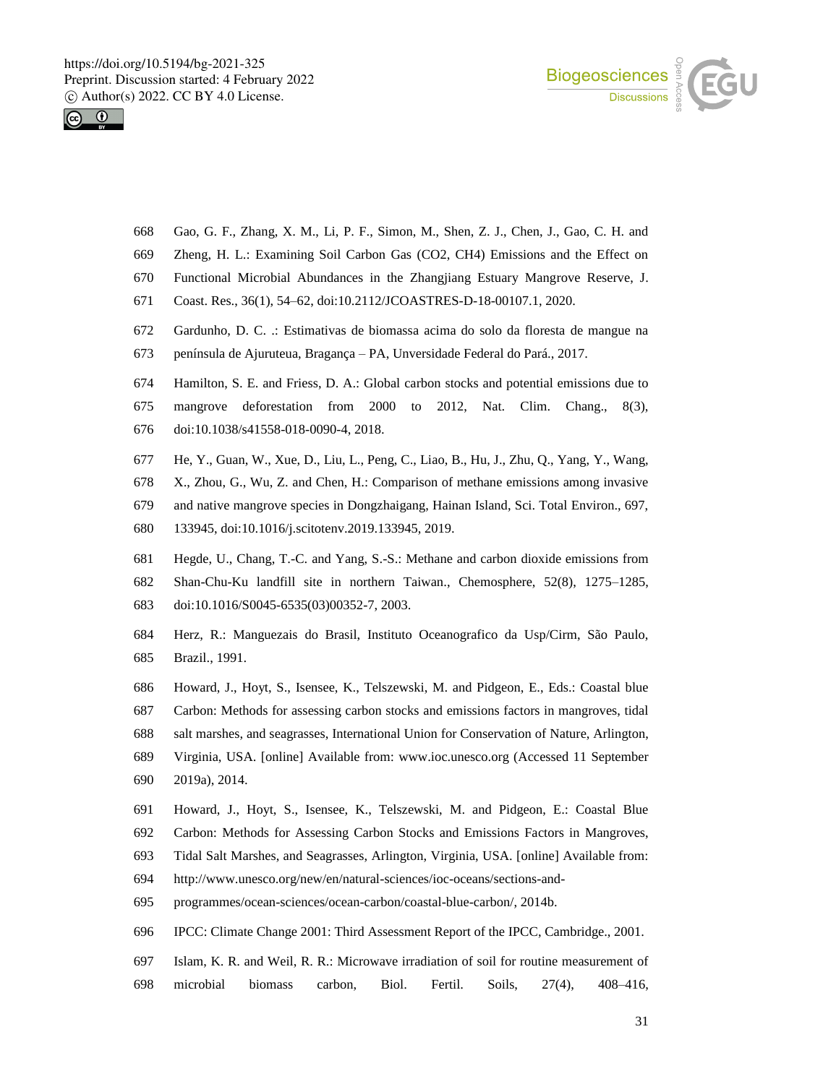



- Gao, G. F., Zhang, X. M., Li, P. F., Simon, M., Shen, Z. J., Chen, J., Gao, C. H. and
- Zheng, H. L.: Examining Soil Carbon Gas (CO2, CH4) Emissions and the Effect on
- Functional Microbial Abundances in the Zhangjiang Estuary Mangrove Reserve, J.
- Coast. Res., 36(1), 54–62, doi:10.2112/JCOASTRES-D-18-00107.1, 2020.
- Gardunho, D. C. .: Estimativas de biomassa acima do solo da floresta de mangue na
- península de Ajuruteua, Bragança PA, Unversidade Federal do Pará., 2017.
- Hamilton, S. E. and Friess, D. A.: Global carbon stocks and potential emissions due to
- mangrove deforestation from 2000 to 2012, Nat. Clim. Chang., 8(3), doi:10.1038/s41558-018-0090-4, 2018.
- He, Y., Guan, W., Xue, D., Liu, L., Peng, C., Liao, B., Hu, J., Zhu, Q., Yang, Y., Wang,
- X., Zhou, G., Wu, Z. and Chen, H.: Comparison of methane emissions among invasive
- and native mangrove species in Dongzhaigang, Hainan Island, Sci. Total Environ., 697,
- 133945, doi:10.1016/j.scitotenv.2019.133945, 2019.
- Hegde, U., Chang, T.-C. and Yang, S.-S.: Methane and carbon dioxide emissions from
- Shan-Chu-Ku landfill site in northern Taiwan., Chemosphere, 52(8), 1275–1285, doi:10.1016/S0045-6535(03)00352-7, 2003.
- Herz, R.: Manguezais do Brasil, Instituto Oceanografico da Usp/Cirm, São Paulo, Brazil., 1991.
- Howard, J., Hoyt, S., Isensee, K., Telszewski, M. and Pidgeon, E., Eds.: Coastal blue Carbon: Methods for assessing carbon stocks and emissions factors in mangroves, tidal salt marshes, and seagrasses, International Union for Conservation of Nature, Arlington, Virginia, USA. [online] Available from: www.ioc.unesco.org (Accessed 11 September 2019a), 2014.
- Howard, J., Hoyt, S., Isensee, K., Telszewski, M. and Pidgeon, E.: Coastal Blue
- Carbon: Methods for Assessing Carbon Stocks and Emissions Factors in Mangroves,
- Tidal Salt Marshes, and Seagrasses, Arlington, Virginia, USA. [online] Available from:
- http://www.unesco.org/new/en/natural-sciences/ioc-oceans/sections-and-
- programmes/ocean-sciences/ocean-carbon/coastal-blue-carbon/, 2014b.
- IPCC: Climate Change 2001: Third Assessment Report of the IPCC, Cambridge., 2001.
- Islam, K. R. and Weil, R. R.: Microwave irradiation of soil for routine measurement of microbial biomass carbon, Biol. Fertil. Soils, 27(4), 408–416,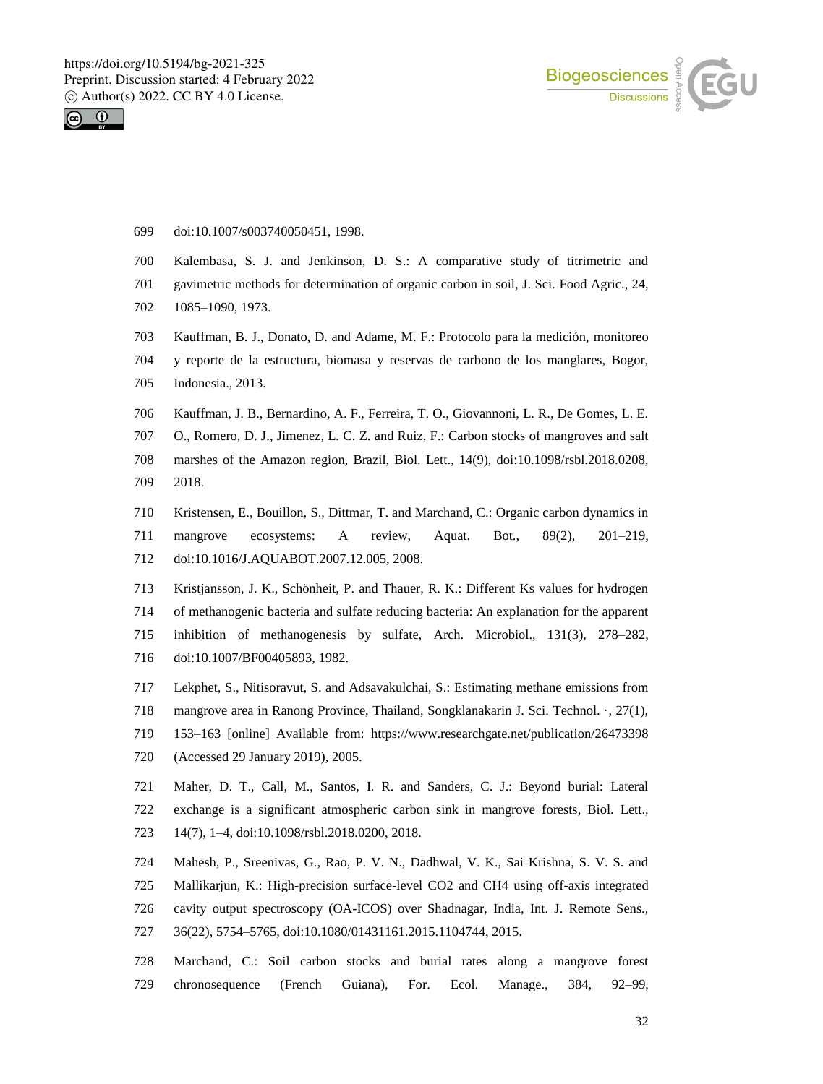



- doi:10.1007/s003740050451, 1998.
- Kalembasa, S. J. and Jenkinson, D. S.: A comparative study of titrimetric and
- gavimetric methods for determination of organic carbon in soil, J. Sci. Food Agric., 24,
- 1085–1090, 1973.
- Kauffman, B. J., Donato, D. and Adame, M. F.: Protocolo para la medición, monitoreo
- y reporte de la estructura, biomasa y reservas de carbono de los manglares, Bogor,
- Indonesia., 2013.
- Kauffman, J. B., Bernardino, A. F., Ferreira, T. O., Giovannoni, L. R., De Gomes, L. E.
- O., Romero, D. J., Jimenez, L. C. Z. and Ruiz, F.: Carbon stocks of mangroves and salt marshes of the Amazon region, Brazil, Biol. Lett., 14(9), doi:10.1098/rsbl.2018.0208, 2018.
- Kristensen, E., Bouillon, S., Dittmar, T. and Marchand, C.: Organic carbon dynamics in mangrove ecosystems: A review, Aquat. Bot., 89(2), 201–219, doi:10.1016/J.AQUABOT.2007.12.005, 2008.
- Kristjansson, J. K., Schönheit, P. and Thauer, R. K.: Different Ks values for hydrogen of methanogenic bacteria and sulfate reducing bacteria: An explanation for the apparent inhibition of methanogenesis by sulfate, Arch. Microbiol., 131(3), 278–282, doi:10.1007/BF00405893, 1982.
- Lekphet, S., Nitisoravut, S. and Adsavakulchai, S.: Estimating methane emissions from
- mangrove area in Ranong Province, Thailand, Songklanakarin J. Sci. Technol. ·, 27(1),
- 153–163 [online] Available from: https://www.researchgate.net/publication/26473398
- (Accessed 29 January 2019), 2005.
- Maher, D. T., Call, M., Santos, I. R. and Sanders, C. J.: Beyond burial: Lateral exchange is a significant atmospheric carbon sink in mangrove forests, Biol. Lett.,
- 14(7), 1–4, doi:10.1098/rsbl.2018.0200, 2018.
- Mahesh, P., Sreenivas, G., Rao, P. V. N., Dadhwal, V. K., Sai Krishna, S. V. S. and
- Mallikarjun, K.: High-precision surface-level CO2 and CH4 using off-axis integrated cavity output spectroscopy (OA-ICOS) over Shadnagar, India, Int. J. Remote Sens., 36(22), 5754–5765, doi:10.1080/01431161.2015.1104744, 2015.
- Marchand, C.: Soil carbon stocks and burial rates along a mangrove forest chronosequence (French Guiana), For. Ecol. Manage., 384, 92–99,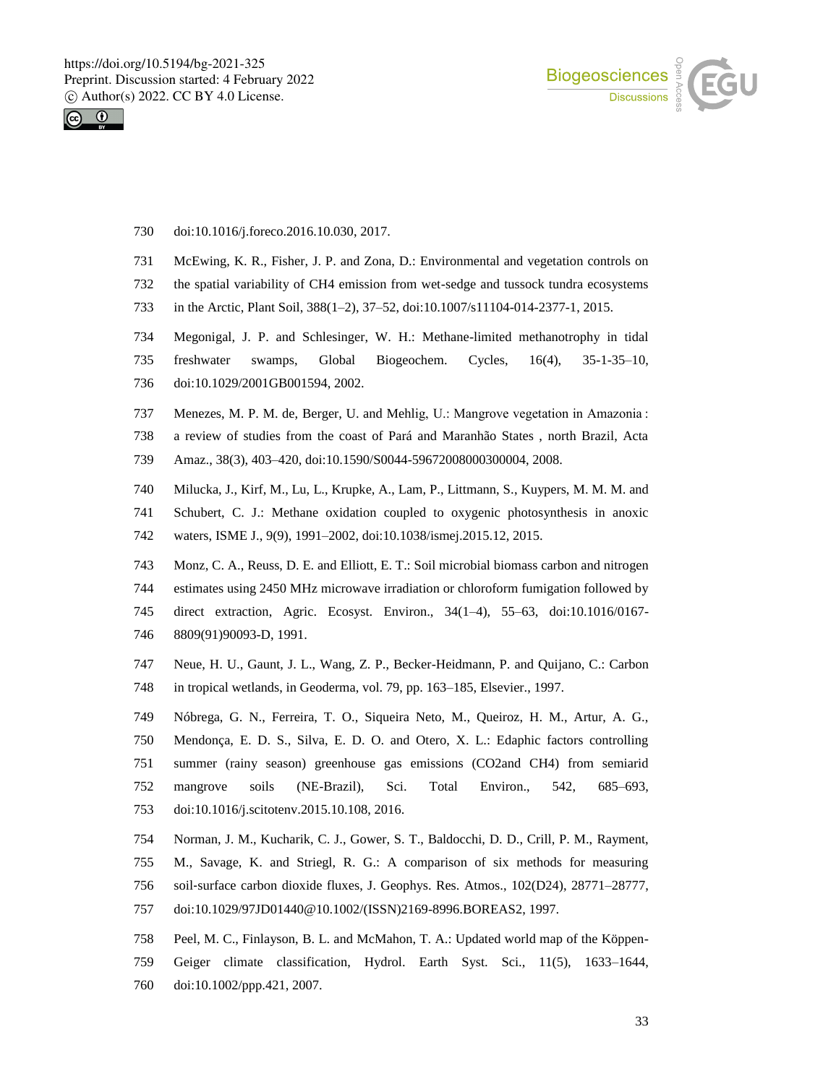



- doi:10.1016/j.foreco.2016.10.030, 2017.
- McEwing, K. R., Fisher, J. P. and Zona, D.: Environmental and vegetation controls on
- the spatial variability of CH4 emission from wet-sedge and tussock tundra ecosystems
- in the Arctic, Plant Soil, 388(1–2), 37–52, doi:10.1007/s11104-014-2377-1, 2015.
- Megonigal, J. P. and Schlesinger, W. H.: Methane-limited methanotrophy in tidal
- freshwater swamps, Global Biogeochem. Cycles, 16(4), 35-1-35–10,
- doi:10.1029/2001GB001594, 2002.
- Menezes, M. P. M. de, Berger, U. and Mehlig, U.: Mangrove vegetation in Amazonia :
- a review of studies from the coast of Pará and Maranhão States , north Brazil, Acta
- Amaz., 38(3), 403–420, doi:10.1590/S0044-59672008000300004, 2008.
- Milucka, J., Kirf, M., Lu, L., Krupke, A., Lam, P., Littmann, S., Kuypers, M. M. M. and
- Schubert, C. J.: Methane oxidation coupled to oxygenic photosynthesis in anoxic
- waters, ISME J., 9(9), 1991–2002, doi:10.1038/ismej.2015.12, 2015.
- Monz, C. A., Reuss, D. E. and Elliott, E. T.: Soil microbial biomass carbon and nitrogen
- estimates using 2450 MHz microwave irradiation or chloroform fumigation followed by
- direct extraction, Agric. Ecosyst. Environ., 34(1–4), 55–63, doi:10.1016/0167- 8809(91)90093-D, 1991.
- Neue, H. U., Gaunt, J. L., Wang, Z. P., Becker-Heidmann, P. and Quijano, C.: Carbon in tropical wetlands, in Geoderma, vol. 79, pp. 163–185, Elsevier., 1997.
- Nóbrega, G. N., Ferreira, T. O., Siqueira Neto, M., Queiroz, H. M., Artur, A. G.,
- Mendonça, E. D. S., Silva, E. D. O. and Otero, X. L.: Edaphic factors controlling
- summer (rainy season) greenhouse gas emissions (CO2and CH4) from semiarid
- mangrove soils (NE-Brazil), Sci. Total Environ., 542, 685–693,
- doi:10.1016/j.scitotenv.2015.10.108, 2016.
- Norman, J. M., Kucharik, C. J., Gower, S. T., Baldocchi, D. D., Crill, P. M., Rayment,
- M., Savage, K. and Striegl, R. G.: A comparison of six methods for measuring
- soil‐surface carbon dioxide fluxes, J. Geophys. Res. Atmos., 102(D24), 28771–28777,
- doi:10.1029/97JD01440@10.1002/(ISSN)2169-8996.BOREAS2, 1997.
- Peel, M. C., Finlayson, B. L. and McMahon, T. A.: Updated world map of the Köppen- Geiger climate classification, Hydrol. Earth Syst. Sci., 11(5), 1633–1644, doi:10.1002/ppp.421, 2007.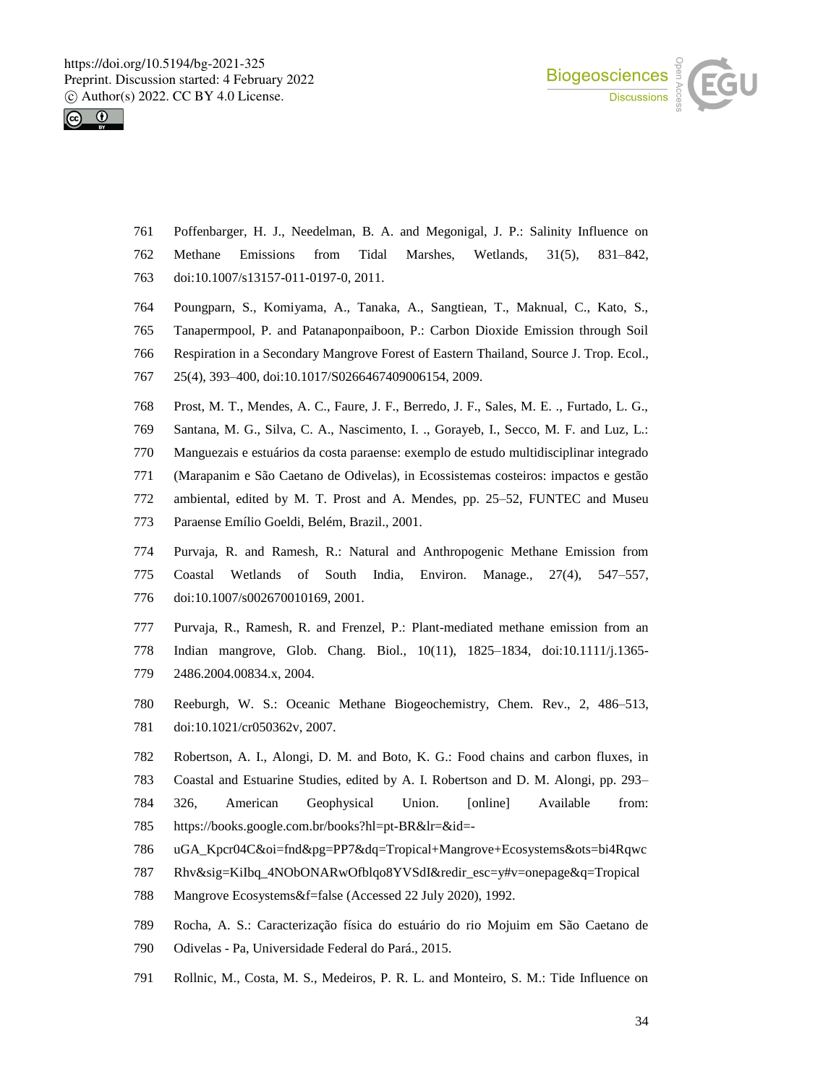



- Poffenbarger, H. J., Needelman, B. A. and Megonigal, J. P.: Salinity Influence on Methane Emissions from Tidal Marshes, Wetlands, 31(5), 831–842, doi:10.1007/s13157-011-0197-0, 2011.
- Poungparn, S., Komiyama, A., Tanaka, A., Sangtiean, T., Maknual, C., Kato, S.,
- Tanapermpool, P. and Patanaponpaiboon, P.: Carbon Dioxide Emission through Soil
- Respiration in a Secondary Mangrove Forest of Eastern Thailand, Source J. Trop. Ecol.,
- 25(4), 393–400, doi:10.1017/S0266467409006154, 2009.
- Prost, M. T., Mendes, A. C., Faure, J. F., Berredo, J. F., Sales, M. E. ., Furtado, L. G.,
- Santana, M. G., Silva, C. A., Nascimento, I. ., Gorayeb, I., Secco, M. F. and Luz, L.:
- Manguezais e estuários da costa paraense: exemplo de estudo multidisciplinar integrado
- (Marapanim e São Caetano de Odivelas), in Ecossistemas costeiros: impactos e gestão
- ambiental, edited by M. T. Prost and A. Mendes, pp. 25–52, FUNTEC and Museu
- Paraense Emílio Goeldi, Belém, Brazil., 2001.
- Purvaja, R. and Ramesh, R.: Natural and Anthropogenic Methane Emission from Coastal Wetlands of South India, Environ. Manage., 27(4), 547–557, doi:10.1007/s002670010169, 2001.
- Purvaja, R., Ramesh, R. and Frenzel, P.: Plant-mediated methane emission from an Indian mangrove, Glob. Chang. Biol., 10(11), 1825–1834, doi:10.1111/j.1365- 2486.2004.00834.x, 2004.
- Reeburgh, W. S.: Oceanic Methane Biogeochemistry, Chem. Rev., 2, 486–513, doi:10.1021/cr050362v, 2007.
- Robertson, A. I., Alongi, D. M. and Boto, K. G.: Food chains and carbon fluxes, in
- Coastal and Estuarine Studies, edited by A. I. Robertson and D. M. Alongi, pp. 293–
- 326, American Geophysical Union. [online] Available from: https://books.google.com.br/books?hl=pt-BR&lr=&id=-
- uGA\_Kpcr04C&oi=fnd&pg=PP7&dq=Tropical+Mangrove+Ecosystems&ots=bi4Rqwc
- Rhv&sig=KiIbq\_4NObONARwOfblqo8YVSdI&redir\_esc=y#v=onepage&q=Tropical
- Mangrove Ecosystems&f=false (Accessed 22 July 2020), 1992.
- Rocha, A. S.: Caracterização física do estuário do rio Mojuim em São Caetano de
- Odivelas Pa, Universidade Federal do Pará., 2015.
- Rollnic, M., Costa, M. S., Medeiros, P. R. L. and Monteiro, S. M.: Tide Influence on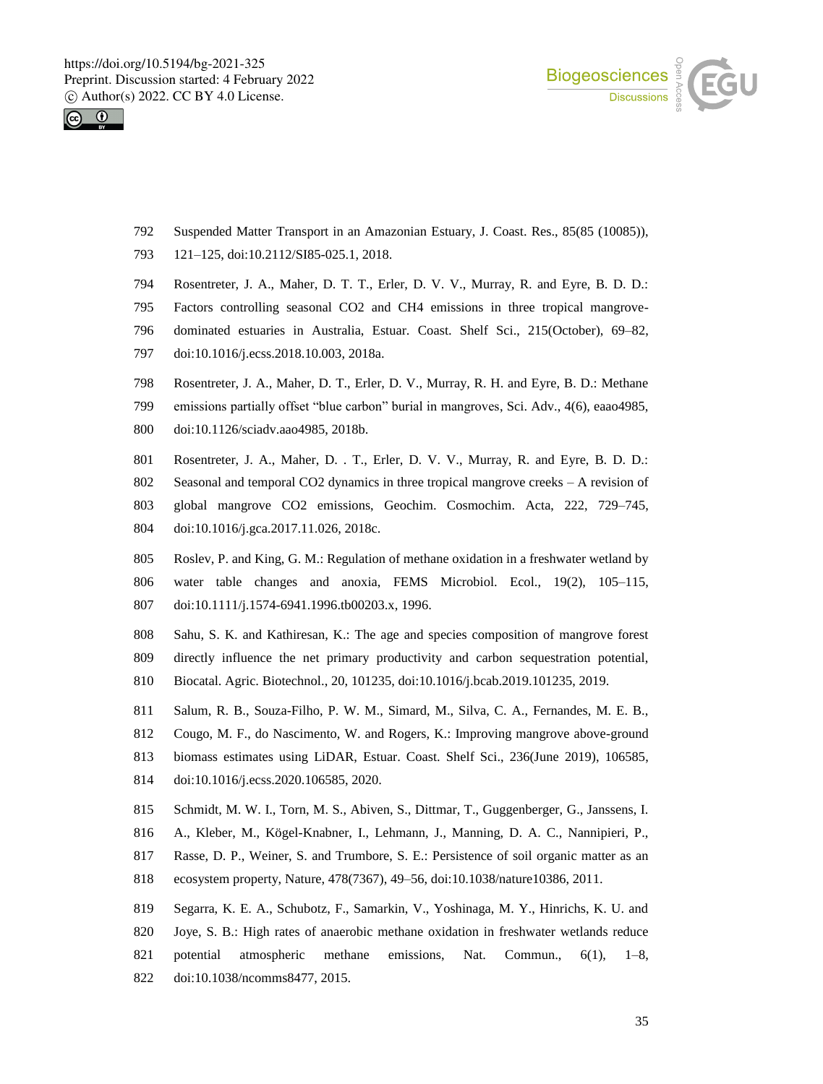



- Suspended Matter Transport in an Amazonian Estuary, J. Coast. Res., 85(85 (10085)),
- 121–125, doi:10.2112/SI85-025.1, 2018.
- Rosentreter, J. A., Maher, D. T. T., Erler, D. V. V., Murray, R. and Eyre, B. D. D.:
- Factors controlling seasonal CO2 and CH4 emissions in three tropical mangrove-
- dominated estuaries in Australia, Estuar. Coast. Shelf Sci., 215(October), 69–82,
- doi:10.1016/j.ecss.2018.10.003, 2018a.
- Rosentreter, J. A., Maher, D. T., Erler, D. V., Murray, R. H. and Eyre, B. D.: Methane
- emissions partially offset "blue carbon" burial in mangroves, Sci. Adv., 4(6), eaao4985,
- doi:10.1126/sciadv.aao4985, 2018b.
- Rosentreter, J. A., Maher, D. . T., Erler, D. V. V., Murray, R. and Eyre, B. D. D.:
- Seasonal and temporal CO2 dynamics in three tropical mangrove creeks A revision of global mangrove CO2 emissions, Geochim. Cosmochim. Acta, 222, 729–745,
- doi:10.1016/j.gca.2017.11.026, 2018c.
- Roslev, P. and King, G. M.: Regulation of methane oxidation in a freshwater wetland by water table changes and anoxia, FEMS Microbiol. Ecol., 19(2), 105–115, doi:10.1111/j.1574-6941.1996.tb00203.x, 1996.
- Sahu, S. K. and Kathiresan, K.: The age and species composition of mangrove forest
- directly influence the net primary productivity and carbon sequestration potential, Biocatal. Agric. Biotechnol., 20, 101235, doi:10.1016/j.bcab.2019.101235, 2019.
- Salum, R. B., Souza-Filho, P. W. M., Simard, M., Silva, C. A., Fernandes, M. E. B.,
- Cougo, M. F., do Nascimento, W. and Rogers, K.: Improving mangrove above-ground
- biomass estimates using LiDAR, Estuar. Coast. Shelf Sci., 236(June 2019), 106585,
- doi:10.1016/j.ecss.2020.106585, 2020.
- Schmidt, M. W. I., Torn, M. S., Abiven, S., Dittmar, T., Guggenberger, G., Janssens, I.
- A., Kleber, M., Kögel-Knabner, I., Lehmann, J., Manning, D. A. C., Nannipieri, P.,
- Rasse, D. P., Weiner, S. and Trumbore, S. E.: Persistence of soil organic matter as an
- ecosystem property, Nature, 478(7367), 49–56, doi:10.1038/nature10386, 2011.
- Segarra, K. E. A., Schubotz, F., Samarkin, V., Yoshinaga, M. Y., Hinrichs, K. U. and Joye, S. B.: High rates of anaerobic methane oxidation in freshwater wetlands reduce potential atmospheric methane emissions, Nat. Commun., 6(1), 1–8, doi:10.1038/ncomms8477, 2015.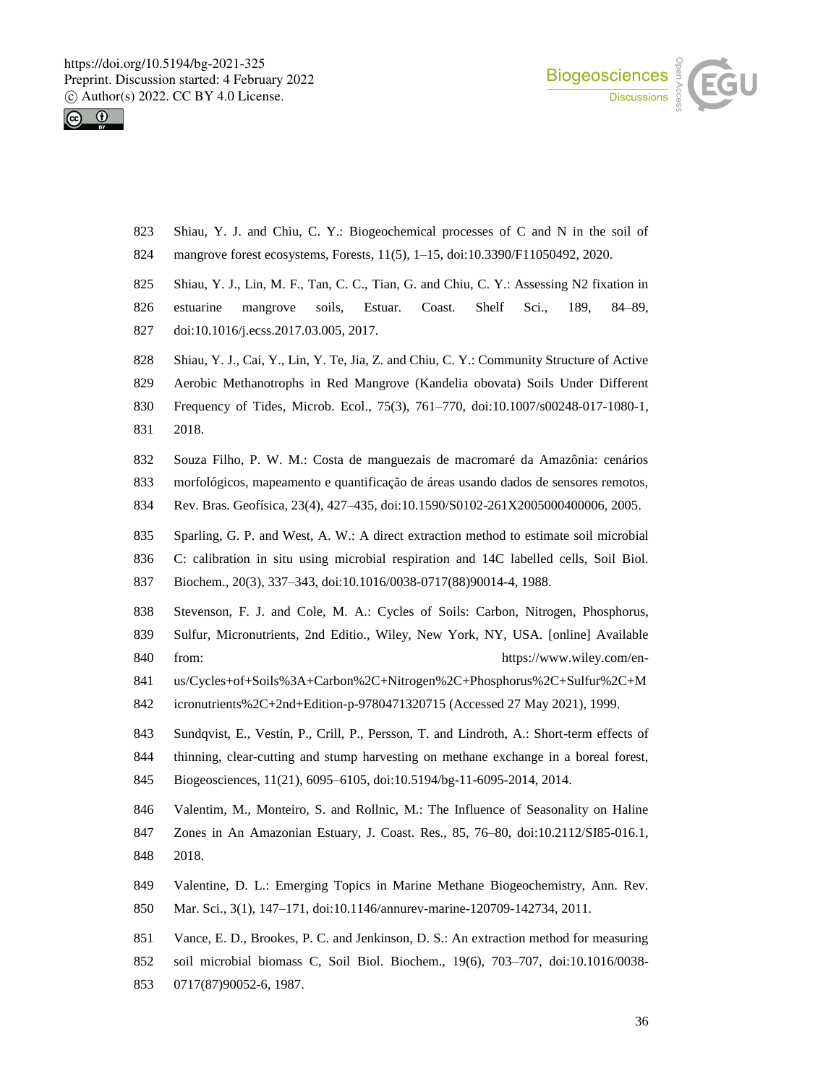



- Shiau, Y. J. and Chiu, C. Y.: Biogeochemical processes of C and N in the soil of
- mangrove forest ecosystems, Forests, 11(5), 1–15, doi:10.3390/F11050492, 2020.
- 825 Shiau, Y. J., Lin, M. F., Tan, C. C., Tian, G. and Chiu, C. Y.: Assessing N2 fixation in
- estuarine mangrove soils, Estuar. Coast. Shelf Sci., 189, 84–89,
- doi:10.1016/j.ecss.2017.03.005, 2017.
- Shiau, Y. J., Cai, Y., Lin, Y. Te, Jia, Z. and Chiu, C. Y.: Community Structure of Active
- Aerobic Methanotrophs in Red Mangrove (Kandelia obovata) Soils Under Different
- Frequency of Tides, Microb. Ecol., 75(3), 761–770, doi:10.1007/s00248-017-1080-1, 2018.
- Souza Filho, P. W. M.: Costa de manguezais de macromaré da Amazônia: cenários
- morfológicos, mapeamento e quantificação de áreas usando dados de sensores remotos,
- Rev. Bras. Geofísica, 23(4), 427–435, doi:10.1590/S0102-261X2005000400006, 2005.
- Sparling, G. P. and West, A. W.: A direct extraction method to estimate soil microbial
- C: calibration in situ using microbial respiration and 14C labelled cells, Soil Biol.
- Biochem., 20(3), 337–343, doi:10.1016/0038-0717(88)90014-4, 1988.
- Stevenson, F. J. and Cole, M. A.: Cycles of Soils: Carbon, Nitrogen, Phosphorus,
- Sulfur, Micronutrients, 2nd Editio., Wiley, New York, NY, USA. [online] Available 840 from: https://www.wiley.com/en-
- us/Cycles+of+Soils%3A+Carbon%2C+Nitrogen%2C+Phosphorus%2C+Sulfur%2C+M
- icronutrients%2C+2nd+Edition-p-9780471320715 (Accessed 27 May 2021), 1999.
- Sundqvist, E., Vestin, P., Crill, P., Persson, T. and Lindroth, A.: Short-term effects of thinning, clear-cutting and stump harvesting on methane exchange in a boreal forest,
- Biogeosciences, 11(21), 6095–6105, doi:10.5194/bg-11-6095-2014, 2014.
- Valentim, M., Monteiro, S. and Rollnic, M.: The Influence of Seasonality on Haline
- Zones in An Amazonian Estuary, J. Coast. Res., 85, 76–80, doi:10.2112/SI85-016.1, 2018.
- Valentine, D. L.: Emerging Topics in Marine Methane Biogeochemistry, Ann. Rev.
- Mar. Sci., 3(1), 147–171, doi:10.1146/annurev-marine-120709-142734, 2011.
- Vance, E. D., Brookes, P. C. and Jenkinson, D. S.: An extraction method for measuring
- soil microbial biomass C, Soil Biol. Biochem., 19(6), 703–707, doi:10.1016/0038-
- 0717(87)90052-6, 1987.